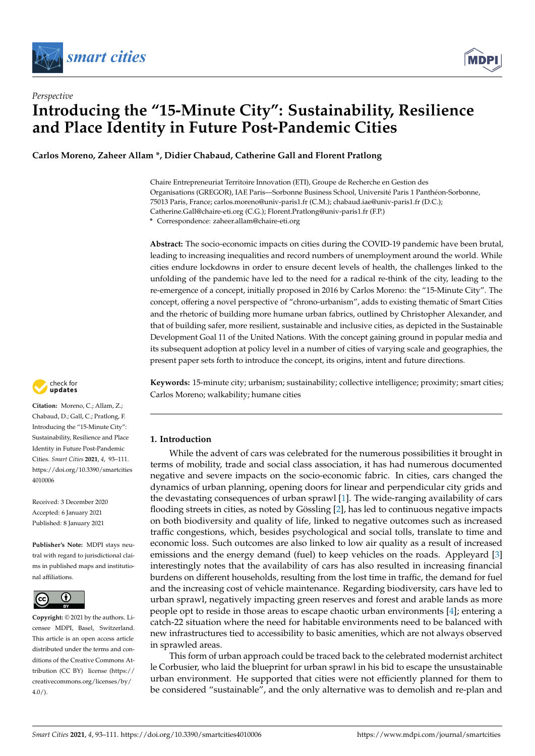



# *Perspective* **Introducing the "15-Minute City": Sustainability, Resilience and Place Identity in Future Post-Pandemic Cities**

**Carlos Moreno, Zaheer Allam \*, Didier Chabaud, Catherine Gall and Florent Pratlong**

Chaire Entrepreneuriat Territoire Innovation (ETI), Groupe de Recherche en Gestion des Organisations (GREGOR), IAE Paris—Sorbonne Business School, Université Paris 1 Panthéon-Sorbonne, 75013 Paris, France; carlos.moreno@univ-paris1.fr (C.M.); chabaud.iae@univ-paris1.fr (D.C.); Catherine.Gall@chaire-eti.org (C.G.); Florent.Pratlong@univ-paris1.fr (F.P.)

**\*** Correspondence: zaheer.allam@chaire-eti.org

**Abstract:** The socio-economic impacts on cities during the COVID-19 pandemic have been brutal, leading to increasing inequalities and record numbers of unemployment around the world. While cities endure lockdowns in order to ensure decent levels of health, the challenges linked to the unfolding of the pandemic have led to the need for a radical re-think of the city, leading to the re-emergence of a concept, initially proposed in 2016 by Carlos Moreno: the "15-Minute City". The concept, offering a novel perspective of "chrono-urbanism", adds to existing thematic of Smart Cities and the rhetoric of building more humane urban fabrics, outlined by Christopher Alexander, and that of building safer, more resilient, sustainable and inclusive cities, as depicted in the Sustainable Development Goal 11 of the United Nations. With the concept gaining ground in popular media and its subsequent adoption at policy level in a number of cities of varying scale and geographies, the present paper sets forth to introduce the concept, its origins, intent and future directions.

**Keywords:** 15-minute city; urbanism; sustainability; collective intelligence; proximity; smart cities; Carlos Moreno; walkability; humane cities

### **1. Introduction**

While the advent of cars was celebrated for the numerous possibilities it brought in terms of mobility, trade and social class association, it has had numerous documented negative and severe impacts on the socio-economic fabric. In cities, cars changed the dynamics of urban planning, opening doors for linear and perpendicular city grids and the devastating consequences of urban sprawl [\[1\]](#page-14-0). The wide-ranging availability of cars flooding streets in cities, as noted by Gössling [\[2\]](#page-14-1), has led to continuous negative impacts on both biodiversity and quality of life, linked to negative outcomes such as increased traffic congestions, which, besides psychological and social tolls, translate to time and economic loss. Such outcomes are also linked to low air quality as a result of increased emissions and the energy demand (fuel) to keep vehicles on the roads. Appleyard [\[3\]](#page-14-2) interestingly notes that the availability of cars has also resulted in increasing financial burdens on different households, resulting from the lost time in traffic, the demand for fuel and the increasing cost of vehicle maintenance. Regarding biodiversity, cars have led to urban sprawl, negatively impacting green reserves and forest and arable lands as more people opt to reside in those areas to escape chaotic urban environments [\[4\]](#page-14-3); entering a catch-22 situation where the need for habitable environments need to be balanced with new infrastructures tied to accessibility to basic amenities, which are not always observed in sprawled areas.

This form of urban approach could be traced back to the celebrated modernist architect le Corbusier, who laid the blueprint for urban sprawl in his bid to escape the unsustainable urban environment. He supported that cities were not efficiently planned for them to be considered "sustainable", and the only alternative was to demolish and re-plan and



**Citation:** Moreno, C.; Allam, Z.; Chabaud, D.; Gall, C.; Pratlong, F. Introducing the "15-Minute City": Sustainability, Resilience and Place Identity in Future Post-Pandemic Cities. *Smart Cities* **2021**, *4*, 93–111. [https://doi.org/10.3390/smartcities](https://doi.org/10.3390/smartcities4010006) [4010006](https://doi.org/10.3390/smartcities4010006)

Received: 3 December 2020 Accepted: 6 January 2021 Published: 8 January 2021

**Publisher's Note:** MDPI stays neutral with regard to jurisdictional claims in published maps and institutional affiliations.



**Copyright:** © 2021 by the authors. Licensee MDPI, Basel, Switzerland. This article is an open access article distributed under the terms and conditions of the Creative Commons Attribution (CC BY) license [\(https://](https://creativecommons.org/licenses/by/4.0/) [creativecommons.org/licenses/by/](https://creativecommons.org/licenses/by/4.0/)  $4.0/$ ).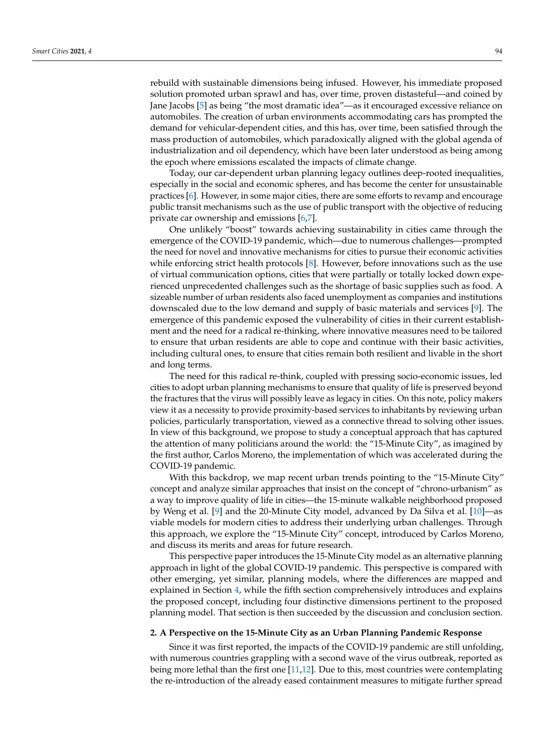rebuild with sustainable dimensions being infused. However, his immediate proposed solution promoted urban sprawl and has, over time, proven distasteful—and coined by Jane Jacobs [\[5\]](#page-14-4) as being "the most dramatic idea"—as it encouraged excessive reliance on automobiles. The creation of urban environments accommodating cars has prompted the demand for vehicular-dependent cities, and this has, over time, been satisfied through the mass production of automobiles, which paradoxically aligned with the global agenda of industrialization and oil dependency, which have been later understood as being among the epoch where emissions escalated the impacts of climate change.

Today, our car-dependent urban planning legacy outlines deep-rooted inequalities, especially in the social and economic spheres, and has become the center for unsustainable practices [\[6\]](#page-14-5). However, in some major cities, there are some efforts to revamp and encourage public transit mechanisms such as the use of public transport with the objective of reducing private car ownership and emissions [\[6,](#page-14-5)[7\]](#page-14-6).

One unlikely "boost" towards achieving sustainability in cities came through the emergence of the COVID-19 pandemic, which—due to numerous challenges—prompted the need for novel and innovative mechanisms for cities to pursue their economic activities while enforcing strict health protocols [\[8\]](#page-14-7). However, before innovations such as the use of virtual communication options, cities that were partially or totally locked down experienced unprecedented challenges such as the shortage of basic supplies such as food. A sizeable number of urban residents also faced unemployment as companies and institutions downscaled due to the low demand and supply of basic materials and services [\[9\]](#page-14-8). The emergence of this pandemic exposed the vulnerability of cities in their current establishment and the need for a radical re-thinking, where innovative measures need to be tailored to ensure that urban residents are able to cope and continue with their basic activities, including cultural ones, to ensure that cities remain both resilient and livable in the short and long terms.

The need for this radical re-think, coupled with pressing socio-economic issues, led cities to adopt urban planning mechanisms to ensure that quality of life is preserved beyond the fractures that the virus will possibly leave as legacy in cities. On this note, policy makers view it as a necessity to provide proximity-based services to inhabitants by reviewing urban policies, particularly transportation, viewed as a connective thread to solving other issues. In view of this background, we propose to study a conceptual approach that has captured the attention of many politicians around the world: the "15-Minute City", as imagined by the first author, Carlos Moreno, the implementation of which was accelerated during the COVID-19 pandemic.

With this backdrop, we map recent urban trends pointing to the "15-Minute City" concept and analyze similar approaches that insist on the concept of "chrono-urbanism" as a way to improve quality of life in cities—the 15-minute walkable neighborhood proposed by Weng et al. [\[9\]](#page-14-8) and the 20-Minute City model, advanced by Da Silva et al. [\[10\]](#page-14-9)—as viable models for modern cities to address their underlying urban challenges. Through this approach, we explore the "15-Minute City" concept, introduced by Carlos Moreno, and discuss its merits and areas for future research.

This perspective paper introduces the 15-Minute City model as an alternative planning approach in light of the global COVID-19 pandemic. This perspective is compared with other emerging, yet similar, planning models, where the differences are mapped and explained in Section [4,](#page-5-0) while the fifth section comprehensively introduces and explains the proposed concept, including four distinctive dimensions pertinent to the proposed planning model. That section is then succeeded by the discussion and conclusion section.

#### **2. A Perspective on the 15-Minute City as an Urban Planning Pandemic Response**

Since it was first reported, the impacts of the COVID-19 pandemic are still unfolding, with numerous countries grappling with a second wave of the virus outbreak, reported as being more lethal than the first one [\[11,](#page-14-10)[12\]](#page-14-11). Due to this, most countries were contemplating the re-introduction of the already eased containment measures to mitigate further spread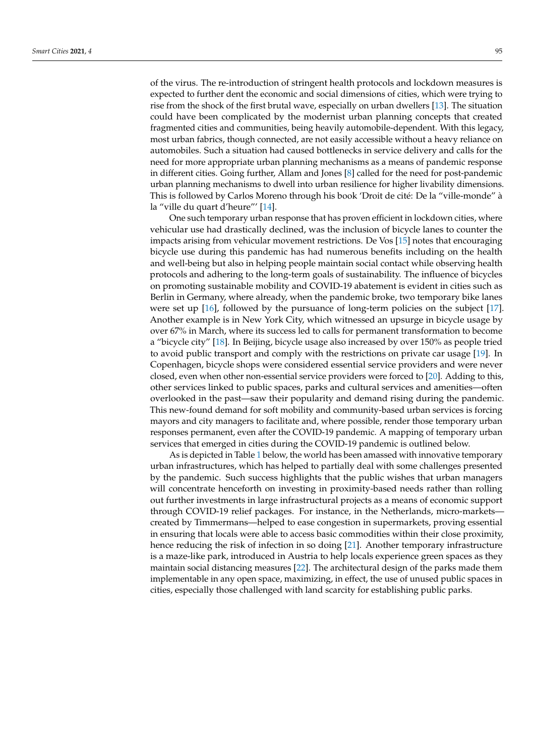of the virus. The re-introduction of stringent health protocols and lockdown measures is expected to further dent the economic and social dimensions of cities, which were trying to rise from the shock of the first brutal wave, especially on urban dwellers [\[13\]](#page-14-12). The situation could have been complicated by the modernist urban planning concepts that created fragmented cities and communities, being heavily automobile-dependent. With this legacy, most urban fabrics, though connected, are not easily accessible without a heavy reliance on automobiles. Such a situation had caused bottlenecks in service delivery and calls for the need for more appropriate urban planning mechanisms as a means of pandemic response in different cities. Going further, Allam and Jones [\[8\]](#page-14-7) called for the need for post-pandemic urban planning mechanisms to dwell into urban resilience for higher livability dimensions. This is followed by Carlos Moreno through his book 'Droit de cité: De la "ville-monde" à la "ville du quart d'heure"' [\[14\]](#page-14-13).

One such temporary urban response that has proven efficient in lockdown cities, where vehicular use had drastically declined, was the inclusion of bicycle lanes to counter the impacts arising from vehicular movement restrictions. De Vos [\[15\]](#page-14-14) notes that encouraging bicycle use during this pandemic has had numerous benefits including on the health and well-being but also in helping people maintain social contact while observing health protocols and adhering to the long-term goals of sustainability. The influence of bicycles on promoting sustainable mobility and COVID-19 abatement is evident in cities such as Berlin in Germany, where already, when the pandemic broke, two temporary bike lanes were set up [\[16\]](#page-14-15), followed by the pursuance of long-term policies on the subject [\[17\]](#page-14-16). Another example is in New York City, which witnessed an upsurge in bicycle usage by over 67% in March, where its success led to calls for permanent transformation to become a "bicycle city" [\[18\]](#page-14-17). In Beijing, bicycle usage also increased by over 150% as people tried to avoid public transport and comply with the restrictions on private car usage [\[19\]](#page-14-18). In Copenhagen, bicycle shops were considered essential service providers and were never closed, even when other non-essential service providers were forced to [\[20\]](#page-14-19). Adding to this, other services linked to public spaces, parks and cultural services and amenities—often overlooked in the past—saw their popularity and demand rising during the pandemic. This new-found demand for soft mobility and community-based urban services is forcing mayors and city managers to facilitate and, where possible, render those temporary urban responses permanent, even after the COVID-19 pandemic. A mapping of temporary urban services that emerged in cities during the COVID-19 pandemic is outlined below.

As is depicted in Table [1](#page-3-0) below, the world has been amassed with innovative temporary urban infrastructures, which has helped to partially deal with some challenges presented by the pandemic. Such success highlights that the public wishes that urban managers will concentrate henceforth on investing in proximity-based needs rather than rolling out further investments in large infrastructural projects as a means of economic support through COVID-19 relief packages. For instance, in the Netherlands, micro-markets created by Timmermans—helped to ease congestion in supermarkets, proving essential in ensuring that locals were able to access basic commodities within their close proximity, hence reducing the risk of infection in so doing [\[21\]](#page-14-20). Another temporary infrastructure is a maze-like park, introduced in Austria to help locals experience green spaces as they maintain social distancing measures [\[22\]](#page-14-21). The architectural design of the parks made them implementable in any open space, maximizing, in effect, the use of unused public spaces in cities, especially those challenged with land scarcity for establishing public parks.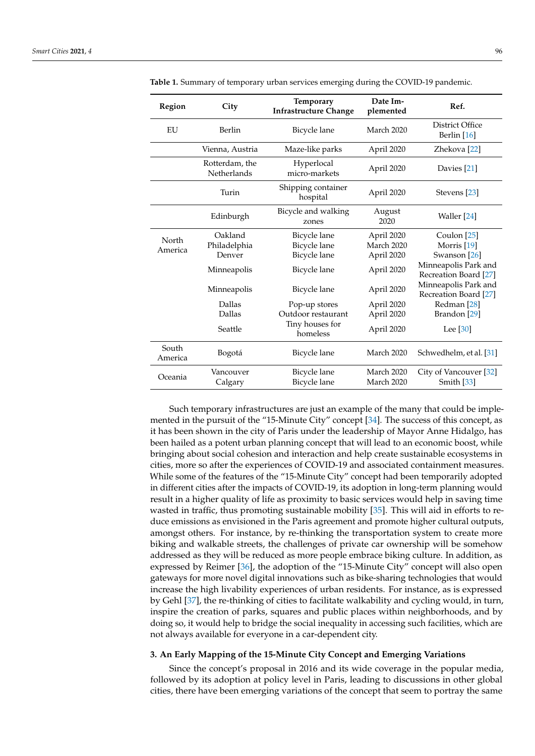| <b>Region</b>    | City                                 | Temporary<br><b>Infrastructure Change</b> | Date Im-<br>plemented | Ref.                                          |
|------------------|--------------------------------------|-------------------------------------------|-----------------------|-----------------------------------------------|
| EU               | Berlin                               | Bicycle lane                              | March 2020            | District Office<br>Berlin [16]                |
|                  | Vienna, Austria                      | Maze-like parks                           | April 2020            | Zhekova <sup>[22]</sup>                       |
|                  | Rotterdam, the<br><b>Netherlands</b> | Hyperlocal<br>micro-markets               | April 2020            | Davies [21]                                   |
|                  | Turin                                | Shipping container<br>hospital            | April 2020            | Stevens [23]                                  |
|                  | Edinburgh                            | Bicycle and walking<br>zones              | August<br>2020        | Waller [24]                                   |
| North            | Oakland                              | Bicycle lane                              | April 2020            | Coulon [25]                                   |
| America          | Philadelphia                         | Bicycle lane                              | March 2020            | Morris <sup>[19]</sup>                        |
|                  | Denver                               | Bicycle lane                              | April 2020            | Swanson [26]                                  |
|                  | Minneapolis                          | Bicycle lane                              | April 2020            | Minneapolis Park and<br>Recreation Board [27] |
|                  | Minneapolis                          | Bicycle lane                              | April 2020            | Minneapolis Park and<br>Recreation Board [27] |
|                  | Dallas                               | Pop-up stores                             | April 2020            | Redman <sup>[28]</sup>                        |
|                  | Dallas                               | Outdoor restaurant                        | April 2020            | Brandon <sup>[29]</sup>                       |
|                  | Seattle                              | Tiny houses for<br>homeless               | April 2020            | Lee [30]                                      |
| South<br>America | Bogotá                               | Bicycle lane                              | March 2020            | Schwedhelm, et al. [31]                       |
| Oceania          | Vancouver                            | Bicycle lane                              | March 2020            | City of Vancouver [32]                        |
|                  | Calgary                              | Bicycle lane                              | March 2020            | Smith [33]                                    |

<span id="page-3-0"></span>**Table 1.** Summary of temporary urban services emerging during the COVID-19 pandemic.

Such temporary infrastructures are just an example of the many that could be implemented in the pursuit of the "15-Minute City" concept [\[34\]](#page-15-10). The success of this concept, as it has been shown in the city of Paris under the leadership of Mayor Anne Hidalgo, has been hailed as a potent urban planning concept that will lead to an economic boost, while bringing about social cohesion and interaction and help create sustainable ecosystems in cities, more so after the experiences of COVID-19 and associated containment measures. While some of the features of the "15-Minute City" concept had been temporarily adopted in different cities after the impacts of COVID-19, its adoption in long-term planning would result in a higher quality of life as proximity to basic services would help in saving time wasted in traffic, thus promoting sustainable mobility [\[35\]](#page-15-11). This will aid in efforts to reduce emissions as envisioned in the Paris agreement and promote higher cultural outputs, amongst others. For instance, by re-thinking the transportation system to create more biking and walkable streets, the challenges of private car ownership will be somehow addressed as they will be reduced as more people embrace biking culture. In addition, as expressed by Reimer [\[36\]](#page-15-12), the adoption of the "15-Minute City" concept will also open gateways for more novel digital innovations such as bike-sharing technologies that would increase the high livability experiences of urban residents. For instance, as is expressed by Gehl [\[37\]](#page-15-13), the re-thinking of cities to facilitate walkability and cycling would, in turn, inspire the creation of parks, squares and public places within neighborhoods, and by doing so, it would help to bridge the social inequality in accessing such facilities, which are not always available for everyone in a car-dependent city.

#### **3. An Early Mapping of the 15-Minute City Concept and Emerging Variations**

Since the concept's proposal in 2016 and its wide coverage in the popular media, followed by its adoption at policy level in Paris, leading to discussions in other global cities, there have been emerging variations of the concept that seem to portray the same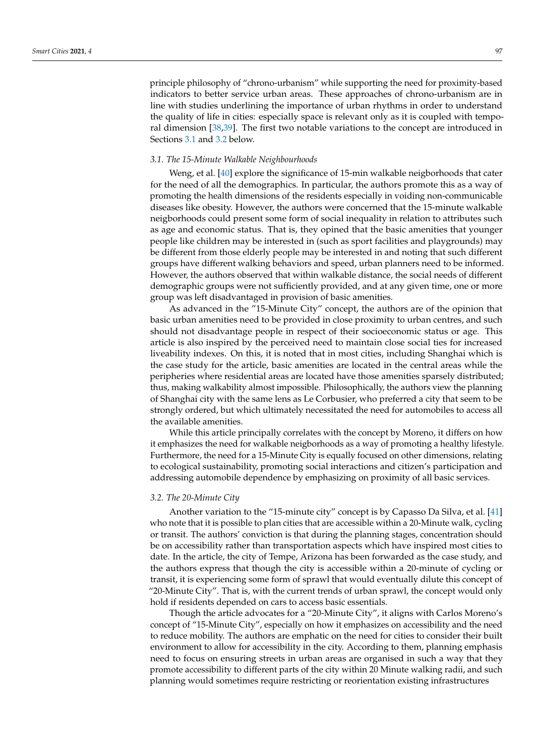principle philosophy of "chrono-urbanism" while supporting the need for proximity-based indicators to better service urban areas. These approaches of chrono-urbanism are in line with studies underlining the importance of urban rhythms in order to understand the quality of life in cities: especially space is relevant only as it is coupled with temporal dimension [\[38](#page-15-14)[,39\]](#page-15-15). The first two notable variations to the concept are introduced in Sections [3.1](#page-4-0) and [3.2](#page-4-1) below.

#### <span id="page-4-0"></span>*3.1. The 15-Minute Walkable Neighbourhoods*

Weng, et al. [\[40\]](#page-15-16) explore the significance of 15-min walkable neigborhoods that cater for the need of all the demographics. In particular, the authors promote this as a way of promoting the health dimensions of the residents especially in voiding non-communicable diseases like obesity. However, the authors were concerned that the 15-minute walkable neigborhoods could present some form of social inequality in relation to attributes such as age and economic status. That is, they opined that the basic amenities that younger people like children may be interested in (such as sport facilities and playgrounds) may be different from those elderly people may be interested in and noting that such different groups have different walking behaviors and speed, urban planners need to be informed. However, the authors observed that within walkable distance, the social needs of different demographic groups were not sufficiently provided, and at any given time, one or more group was left disadvantaged in provision of basic amenities.

As advanced in the "15-Minute City" concept, the authors are of the opinion that basic urban amenities need to be provided in close proximity to urban centres, and such should not disadvantage people in respect of their socioeconomic status or age. This article is also inspired by the perceived need to maintain close social ties for increased liveability indexes. On this, it is noted that in most cities, including Shanghai which is the case study for the article, basic amenities are located in the central areas while the peripheries where residential areas are located have those amenities sparsely distributed; thus, making walkability almost impossible. Philosophically, the authors view the planning of Shanghai city with the same lens as Le Corbusier, who preferred a city that seem to be strongly ordered, but which ultimately necessitated the need for automobiles to access all the available amenities.

While this article principally correlates with the concept by Moreno, it differs on how it emphasizes the need for walkable neigborhoods as a way of promoting a healthy lifestyle. Furthermore, the need for a 15-Minute City is equally focused on other dimensions, relating to ecological sustainability, promoting social interactions and citizen's participation and addressing automobile dependence by emphasizing on proximity of all basic services.

#### <span id="page-4-1"></span>*3.2. The 20-Minute City*

Another variation to the "15-minute city" concept is by Capasso Da Silva, et al. [\[41\]](#page-15-17) who note that it is possible to plan cities that are accessible within a 20-Minute walk, cycling or transit. The authors' conviction is that during the planning stages, concentration should be on accessibility rather than transportation aspects which have inspired most cities to date. In the article, the city of Tempe, Arizona has been forwarded as the case study, and the authors express that though the city is accessible within a 20-minute of cycling or transit, it is experiencing some form of sprawl that would eventually dilute this concept of "20-Minute City". That is, with the current trends of urban sprawl, the concept would only hold if residents depended on cars to access basic essentials.

Though the article advocates for a "20-Minute City", it aligns with Carlos Moreno's concept of "15-Minute City", especially on how it emphasizes on accessibility and the need to reduce mobility. The authors are emphatic on the need for cities to consider their built environment to allow for accessibility in the city. According to them, planning emphasis need to focus on ensuring streets in urban areas are organised in such a way that they promote accessibility to different parts of the city within 20 Minute walking radii, and such planning would sometimes require restricting or reorientation existing infrastructures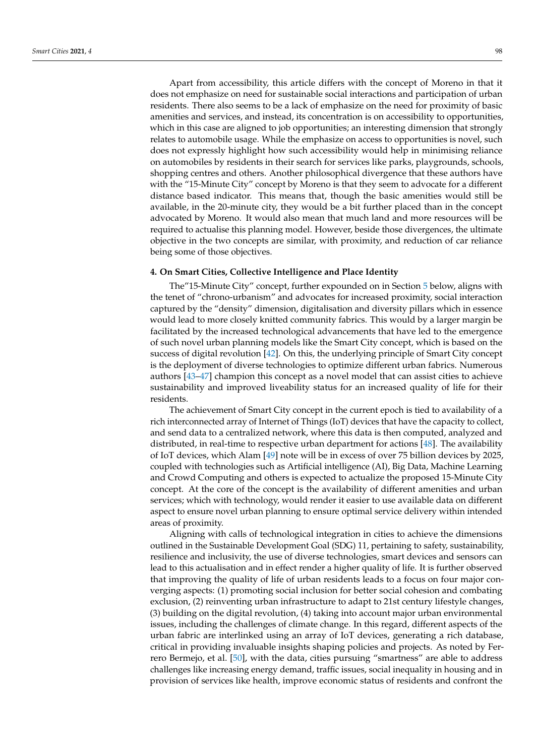Apart from accessibility, this article differs with the concept of Moreno in that it does not emphasize on need for sustainable social interactions and participation of urban residents. There also seems to be a lack of emphasize on the need for proximity of basic amenities and services, and instead, its concentration is on accessibility to opportunities, which in this case are aligned to job opportunities; an interesting dimension that strongly relates to automobile usage. While the emphasize on access to opportunities is novel, such does not expressly highlight how such accessibility would help in minimising reliance on automobiles by residents in their search for services like parks, playgrounds, schools, shopping centres and others. Another philosophical divergence that these authors have with the "15-Minute City" concept by Moreno is that they seem to advocate for a different distance based indicator. This means that, though the basic amenities would still be available, in the 20-minute city, they would be a bit further placed than in the concept advocated by Moreno. It would also mean that much land and more resources will be required to actualise this planning model. However, beside those divergences, the ultimate objective in the two concepts are similar, with proximity, and reduction of car reliance being some of those objectives.

#### <span id="page-5-0"></span>**4. On Smart Cities, Collective Intelligence and Place Identity**

The"15-Minute City" concept, further expounded on in Section [5](#page-7-0) below, aligns with the tenet of "chrono-urbanism" and advocates for increased proximity, social interaction captured by the "density" dimension, digitalisation and diversity pillars which in essence would lead to more closely knitted community fabrics. This would by a larger margin be facilitated by the increased technological advancements that have led to the emergence of such novel urban planning models like the Smart City concept, which is based on the success of digital revolution [\[42\]](#page-15-18). On this, the underlying principle of Smart City concept is the deployment of diverse technologies to optimize different urban fabrics. Numerous authors [\[43–](#page-15-19)[47\]](#page-15-20) champion this concept as a novel model that can assist cities to achieve sustainability and improved liveability status for an increased quality of life for their residents.

The achievement of Smart City concept in the current epoch is tied to availability of a rich interconnected array of Internet of Things (IoT) devices that have the capacity to collect, and send data to a centralized network, where this data is then computed, analyzed and distributed, in real-time to respective urban department for actions [\[48\]](#page-15-21). The availability of IoT devices, which Alam [\[49\]](#page-15-22) note will be in excess of over 75 billion devices by 2025, coupled with technologies such as Artificial intelligence (AI), Big Data, Machine Learning and Crowd Computing and others is expected to actualize the proposed 15-Minute City concept. At the core of the concept is the availability of different amenities and urban services; which with technology, would render it easier to use available data on different aspect to ensure novel urban planning to ensure optimal service delivery within intended areas of proximity.

Aligning with calls of technological integration in cities to achieve the dimensions outlined in the Sustainable Development Goal (SDG) 11, pertaining to safety, sustainability, resilience and inclusivity, the use of diverse technologies, smart devices and sensors can lead to this actualisation and in effect render a higher quality of life. It is further observed that improving the quality of life of urban residents leads to a focus on four major converging aspects: (1) promoting social inclusion for better social cohesion and combating exclusion, (2) reinventing urban infrastructure to adapt to 21st century lifestyle changes, (3) building on the digital revolution, (4) taking into account major urban environmental issues, including the challenges of climate change. In this regard, different aspects of the urban fabric are interlinked using an array of IoT devices, generating a rich database, critical in providing invaluable insights shaping policies and projects. As noted by Ferrero Bermejo, et al. [\[50\]](#page-15-23), with the data, cities pursuing "smartness" are able to address challenges like increasing energy demand, traffic issues, social inequality in housing and in provision of services like health, improve economic status of residents and confront the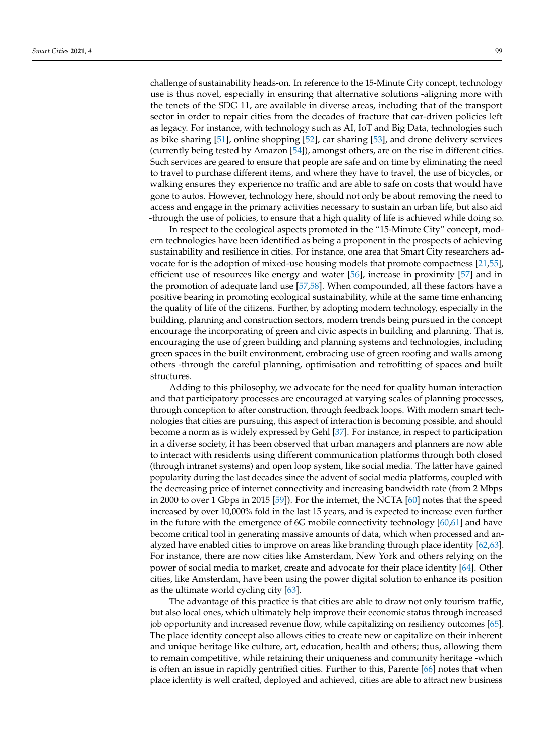challenge of sustainability heads-on. In reference to the 15-Minute City concept, technology use is thus novel, especially in ensuring that alternative solutions -aligning more with the tenets of the SDG 11, are available in diverse areas, including that of the transport sector in order to repair cities from the decades of fracture that car-driven policies left as legacy. For instance, with technology such as AI, IoT and Big Data, technologies such as bike sharing [\[51\]](#page-15-24), online shopping [\[52\]](#page-16-0), car sharing [\[53\]](#page-16-1), and drone delivery services (currently being tested by Amazon [\[54\]](#page-16-2)), amongst others, are on the rise in different cities. Such services are geared to ensure that people are safe and on time by eliminating the need to travel to purchase different items, and where they have to travel, the use of bicycles, or walking ensures they experience no traffic and are able to safe on costs that would have gone to autos. However, technology here, should not only be about removing the need to access and engage in the primary activities necessary to sustain an urban life, but also aid -through the use of policies, to ensure that a high quality of life is achieved while doing so.

In respect to the ecological aspects promoted in the "15-Minute City" concept, modern technologies have been identified as being a proponent in the prospects of achieving sustainability and resilience in cities. For instance, one area that Smart City researchers advocate for is the adoption of mixed-use housing models that promote compactness [\[21](#page-14-20)[,55\]](#page-16-3), efficient use of resources like energy and water [\[56\]](#page-16-4), increase in proximity [\[57\]](#page-16-5) and in the promotion of adequate land use [\[57,](#page-16-5)[58\]](#page-16-6). When compounded, all these factors have a positive bearing in promoting ecological sustainability, while at the same time enhancing the quality of life of the citizens. Further, by adopting modern technology, especially in the building, planning and construction sectors, modern trends being pursued in the concept encourage the incorporating of green and civic aspects in building and planning. That is, encouraging the use of green building and planning systems and technologies, including green spaces in the built environment, embracing use of green roofing and walls among others -through the careful planning, optimisation and retrofitting of spaces and built structures.

Adding to this philosophy, we advocate for the need for quality human interaction and that participatory processes are encouraged at varying scales of planning processes, through conception to after construction, through feedback loops. With modern smart technologies that cities are pursuing, this aspect of interaction is becoming possible, and should become a norm as is widely expressed by Gehl [\[37\]](#page-15-13). For instance, in respect to participation in a diverse society, it has been observed that urban managers and planners are now able to interact with residents using different communication platforms through both closed (through intranet systems) and open loop system, like social media. The latter have gained popularity during the last decades since the advent of social media platforms, coupled with the decreasing price of internet connectivity and increasing bandwidth rate (from 2 Mbps in 2000 to over 1 Gbps in 2015 [\[59\]](#page-16-7)). For the internet, the NCTA [\[60\]](#page-16-8) notes that the speed increased by over 10,000% fold in the last 15 years, and is expected to increase even further in the future with the emergence of 6G mobile connectivity technology [\[60,](#page-16-8)[61\]](#page-16-9) and have become critical tool in generating massive amounts of data, which when processed and analyzed have enabled cities to improve on areas like branding through place identity [\[62](#page-16-10)[,63\]](#page-16-11). For instance, there are now cities like Amsterdam, New York and others relying on the power of social media to market, create and advocate for their place identity [\[64\]](#page-16-12). Other cities, like Amsterdam, have been using the power digital solution to enhance its position as the ultimate world cycling city [\[63\]](#page-16-11).

The advantage of this practice is that cities are able to draw not only tourism traffic, but also local ones, which ultimately help improve their economic status through increased job opportunity and increased revenue flow, while capitalizing on resiliency outcomes [\[65\]](#page-16-13). The place identity concept also allows cities to create new or capitalize on their inherent and unique heritage like culture, art, education, health and others; thus, allowing them to remain competitive, while retaining their uniqueness and community heritage -which is often an issue in rapidly gentrified cities. Further to this, Parente [\[66\]](#page-16-14) notes that when place identity is well crafted, deployed and achieved, cities are able to attract new business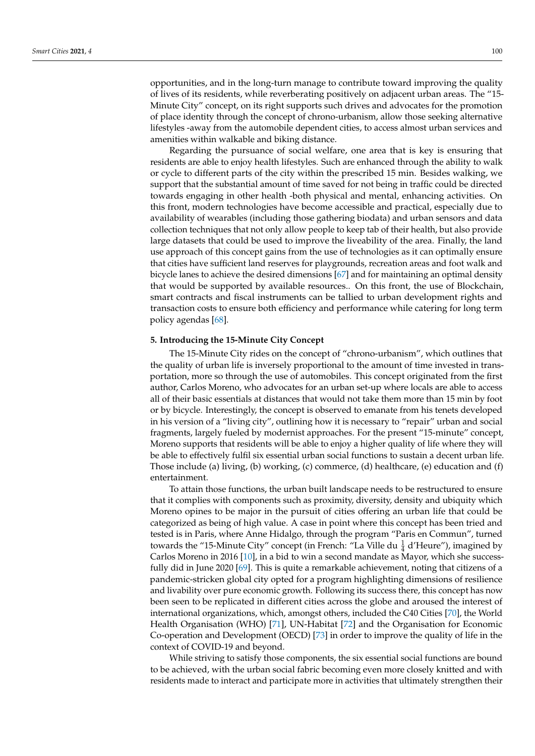opportunities, and in the long-turn manage to contribute toward improving the quality of lives of its residents, while reverberating positively on adjacent urban areas. The "15- Minute City" concept, on its right supports such drives and advocates for the promotion of place identity through the concept of chrono-urbanism, allow those seeking alternative lifestyles -away from the automobile dependent cities, to access almost urban services and amenities within walkable and biking distance.

Regarding the pursuance of social welfare, one area that is key is ensuring that residents are able to enjoy health lifestyles. Such are enhanced through the ability to walk or cycle to different parts of the city within the prescribed 15 min. Besides walking, we support that the substantial amount of time saved for not being in traffic could be directed towards engaging in other health -both physical and mental, enhancing activities. On this front, modern technologies have become accessible and practical, especially due to availability of wearables (including those gathering biodata) and urban sensors and data collection techniques that not only allow people to keep tab of their health, but also provide large datasets that could be used to improve the liveability of the area. Finally, the land use approach of this concept gains from the use of technologies as it can optimally ensure that cities have sufficient land reserves for playgrounds, recreation areas and foot walk and bicycle lanes to achieve the desired dimensions [\[67\]](#page-16-15) and for maintaining an optimal density that would be supported by available resources.. On this front, the use of Blockchain, smart contracts and fiscal instruments can be tallied to urban development rights and transaction costs to ensure both efficiency and performance while catering for long term policy agendas [\[68\]](#page-16-16).

#### <span id="page-7-0"></span>**5. Introducing the 15-Minute City Concept**

The 15-Minute City rides on the concept of "chrono-urbanism", which outlines that the quality of urban life is inversely proportional to the amount of time invested in transportation, more so through the use of automobiles. This concept originated from the first author, Carlos Moreno, who advocates for an urban set-up where locals are able to access all of their basic essentials at distances that would not take them more than 15 min by foot or by bicycle. Interestingly, the concept is observed to emanate from his tenets developed in his version of a "living city", outlining how it is necessary to "repair" urban and social fragments, largely fueled by modernist approaches. For the present "15-minute" concept, Moreno supports that residents will be able to enjoy a higher quality of life where they will be able to effectively fulfil six essential urban social functions to sustain a decent urban life. Those include (a) living, (b) working, (c) commerce, (d) healthcare, (e) education and (f) entertainment.

To attain those functions, the urban built landscape needs to be restructured to ensure that it complies with components such as proximity, diversity, density and ubiquity which Moreno opines to be major in the pursuit of cities offering an urban life that could be categorized as being of high value. A case in point where this concept has been tried and tested is in Paris, where Anne Hidalgo, through the program "Paris en Commun", turned towards the "15-Minute City" concept (in French: "La Ville du  $\frac{1}{4}$  d'Heure"), imagined by Carlos Moreno in 2016 [\[10\]](#page-14-9), in a bid to win a second mandate as Mayor, which she successfully did in June 2020 [\[69\]](#page-16-17). This is quite a remarkable achievement, noting that citizens of a pandemic-stricken global city opted for a program highlighting dimensions of resilience and livability over pure economic growth. Following its success there, this concept has now been seen to be replicated in different cities across the globe and aroused the interest of international organizations, which, amongst others, included the C40 Cities [\[70\]](#page-16-18), the World Health Organisation (WHO) [\[71\]](#page-16-19), UN-Habitat [\[72\]](#page-16-20) and the Organisation for Economic Co-operation and Development (OECD) [\[73\]](#page-16-21) in order to improve the quality of life in the context of COVID-19 and beyond.

While striving to satisfy those components, the six essential social functions are bound to be achieved, with the urban social fabric becoming even more closely knitted and with residents made to interact and participate more in activities that ultimately strengthen their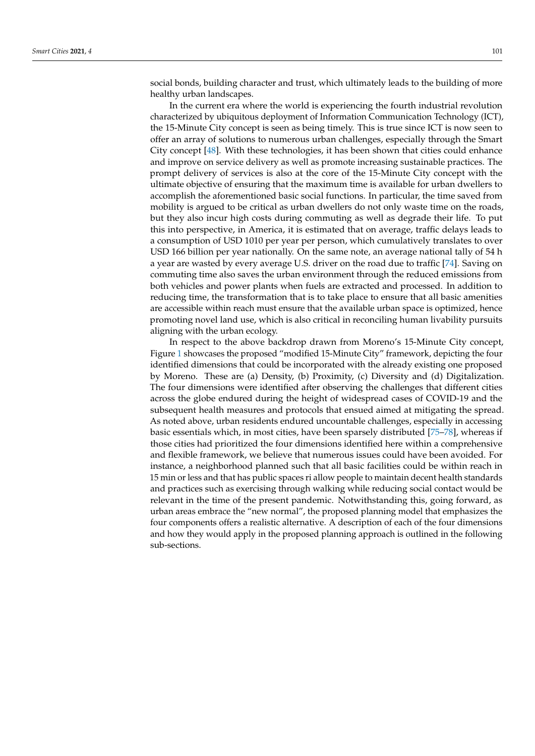social bonds, building character and trust, which ultimately leads to the building of more healthy urban landscapes.

In the current era where the world is experiencing the fourth industrial revolution characterized by ubiquitous deployment of Information Communication Technology (ICT), the 15-Minute City concept is seen as being timely. This is true since ICT is now seen to offer an array of solutions to numerous urban challenges, especially through the Smart City concept [\[48\]](#page-15-21). With these technologies, it has been shown that cities could enhance and improve on service delivery as well as promote increasing sustainable practices. The prompt delivery of services is also at the core of the 15-Minute City concept with the ultimate objective of ensuring that the maximum time is available for urban dwellers to accomplish the aforementioned basic social functions. In particular, the time saved from mobility is argued to be critical as urban dwellers do not only waste time on the roads, but they also incur high costs during commuting as well as degrade their life. To put this into perspective, in America, it is estimated that on average, traffic delays leads to a consumption of USD 1010 per year per person, which cumulatively translates to over USD 166 billion per year nationally. On the same note, an average national tally of 54 h a year are wasted by every average U.S. driver on the road due to traffic [\[74\]](#page-16-22). Saving on commuting time also saves the urban environment through the reduced emissions from both vehicles and power plants when fuels are extracted and processed. In addition to reducing time, the transformation that is to take place to ensure that all basic amenities are accessible within reach must ensure that the available urban space is optimized, hence promoting novel land use, which is also critical in reconciling human livability pursuits aligning with the urban ecology.

In respect to the above backdrop drawn from Moreno's 15-Minute City concept, Figure [1](#page-9-0) showcases the proposed "modified 15-Minute City" framework, depicting the four identified dimensions that could be incorporated with the already existing one proposed by Moreno. These are (a) Density, (b) Proximity, (c) Diversity and (d) Digitalization. The four dimensions were identified after observing the challenges that different cities across the globe endured during the height of widespread cases of COVID-19 and the subsequent health measures and protocols that ensued aimed at mitigating the spread. As noted above, urban residents endured uncountable challenges, especially in accessing basic essentials which, in most cities, have been sparsely distributed [\[75](#page-16-23)[–78\]](#page-16-24), whereas if those cities had prioritized the four dimensions identified here within a comprehensive and flexible framework, we believe that numerous issues could have been avoided. For instance, a neighborhood planned such that all basic facilities could be within reach in 15 min or less and that has public spaces ri allow people to maintain decent health standards and practices such as exercising through walking while reducing social contact would be relevant in the time of the present pandemic. Notwithstanding this, going forward, as urban areas embrace the "new normal", the proposed planning model that emphasizes the four components offers a realistic alternative. A description of each of the four dimensions and how they would apply in the proposed planning approach is outlined in the following sub-sections.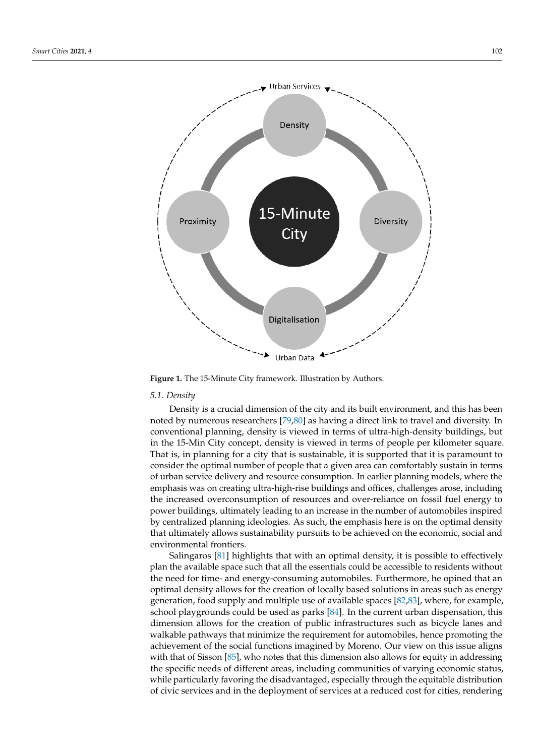<span id="page-9-0"></span>

**Figure 1.** The 15-Minute City framework. Illustration by Authors. **Figure 1.** The 15-Minute City framework. Illustration by Authors.

## *5.1. Density 5.1. Density*

Density is a crucial dimension of the city and its built environment, and this has been Density is a crucial dimension of the city and its built environment, and this has been noted by numerous researchers [79,80] as having a direct link to travel and diversity. In noted by numerous researchers [\[79](#page-17-0)[,80\]](#page-17-1) as having a direct link to travel and diversity. In conventional planning, density is viewed in terms of ultra-high-density buildings, but in the 15-Min City concept, density is viewed in terms of people per kilometer square.<br>That is viewed in terms of people per kilometer square. That is, in planning for a city that is sustainable, it is supported that it is paramount to consider the optimal number of people that a given area can comfortably sustain in terms of urban service delivery and resource consumption. In earlier planning models, where the emphasis was on creating ultra-high-rise buildings and offices, challenges arose, including the the state of the state of the state of the state of the state of the state of the state of the state of the state of the state the increased overconsumption of resources and over-reliance on fossil fuel energy to power the increased overconsumption of resources and over-reliance on fossil fuel energy to buildings, ultimately reading to an increase in the number of automobiles inspired by centralized planning ideologies. As such, the emphasis here is on the optimal density tralized planning ideologies. As such, the emphasis here is on the optimal density that that ultimately allows sustainability pursuits to be achieved on the economic, social and environmental frontiers power buildings, ultimately leading to an increase in the number of automobiles inspired environmental frontiers.

Salingaros [\[81\]](#page-17-2) highlights that with an optimal density, it is possible to effectively plan the available space such that all the essentials could be accessible to residents without plan the available space such that all the essentials could be accessible to residents without plan the available space such that all the essentials could be accessible to residents which is the need for time- and energy-consuming automobiles. Furthermore, he opined that an the need for time- and energy-consuming automobiles. Furthermore, he opined that an optimal density allows for the creation of locally based solutions in areas such as energy generation, food supply and multiple use of available spaces [\[82,](#page-17-3)[83\]](#page-17-4), where, for example, school playgrounds could be used as parks [\[84\]](#page-17-5). In the current urban dispensation, this dimension allows for the creation of public infrastructures such as bicycle lanes and walkable pathways that minimize the requirement for automobiles, hence promoting the achievement of the social functions imagined by Moreno. Our view on this issue aligns with that of Sisson [\[85\]](#page-17-6), who notes that this dimension also allows for equity in addressing the specific needs of different areas, including communities of varying economic status, while particularly favoring the disadvantaged, especially through the equitable distribution of civic services and in the deployment of services at a reduced cost for cities, rendering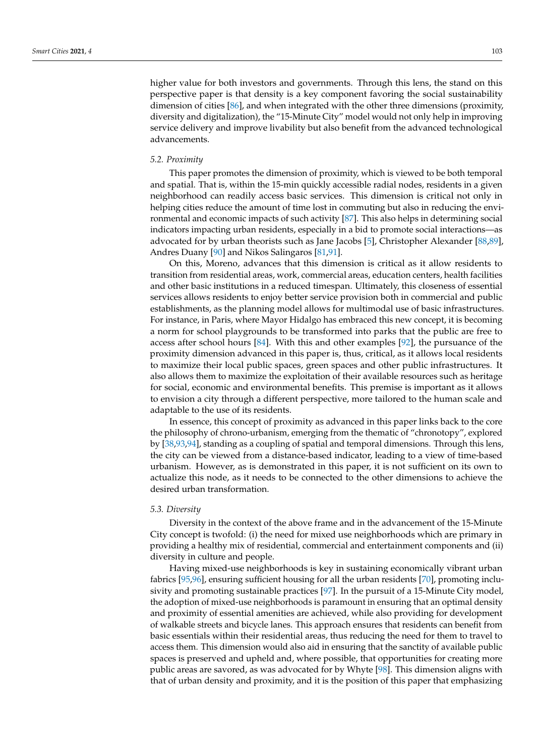higher value for both investors and governments. Through this lens, the stand on this perspective paper is that density is a key component favoring the social sustainability dimension of cities [\[86\]](#page-17-7), and when integrated with the other three dimensions (proximity, diversity and digitalization), the "15-Minute City" model would not only help in improving service delivery and improve livability but also benefit from the advanced technological advancements.

#### *5.2. Proximity*

This paper promotes the dimension of proximity, which is viewed to be both temporal and spatial. That is, within the 15-min quickly accessible radial nodes, residents in a given neighborhood can readily access basic services. This dimension is critical not only in helping cities reduce the amount of time lost in commuting but also in reducing the environmental and economic impacts of such activity [\[87\]](#page-17-8). This also helps in determining social indicators impacting urban residents, especially in a bid to promote social interactions—as advocated for by urban theorists such as Jane Jacobs [\[5\]](#page-14-4), Christopher Alexander [\[88,](#page-17-9)[89\]](#page-17-10), Andres Duany [\[90\]](#page-17-11) and Nikos Salingaros [\[81,](#page-17-2)[91\]](#page-17-12).

On this, Moreno, advances that this dimension is critical as it allow residents to transition from residential areas, work, commercial areas, education centers, health facilities and other basic institutions in a reduced timespan. Ultimately, this closeness of essential services allows residents to enjoy better service provision both in commercial and public establishments, as the planning model allows for multimodal use of basic infrastructures. For instance, in Paris, where Mayor Hidalgo has embraced this new concept, it is becoming a norm for school playgrounds to be transformed into parks that the public are free to access after school hours [\[84\]](#page-17-5). With this and other examples [\[92\]](#page-17-13), the pursuance of the proximity dimension advanced in this paper is, thus, critical, as it allows local residents to maximize their local public spaces, green spaces and other public infrastructures. It also allows them to maximize the exploitation of their available resources such as heritage for social, economic and environmental benefits. This premise is important as it allows to envision a city through a different perspective, more tailored to the human scale and adaptable to the use of its residents.

In essence, this concept of proximity as advanced in this paper links back to the core the philosophy of chrono-urbanism, emerging from the thematic of "chronotopy", explored by [\[38,](#page-15-14)[93](#page-17-14)[,94\]](#page-17-15), standing as a coupling of spatial and temporal dimensions. Through this lens, the city can be viewed from a distance-based indicator, leading to a view of time-based urbanism. However, as is demonstrated in this paper, it is not sufficient on its own to actualize this node, as it needs to be connected to the other dimensions to achieve the desired urban transformation.

#### *5.3. Diversity*

Diversity in the context of the above frame and in the advancement of the 15-Minute City concept is twofold: (i) the need for mixed use neighborhoods which are primary in providing a healthy mix of residential, commercial and entertainment components and (ii) diversity in culture and people.

Having mixed-use neighborhoods is key in sustaining economically vibrant urban fabrics [\[95,](#page-17-16)[96\]](#page-17-17), ensuring sufficient housing for all the urban residents [\[70\]](#page-16-18), promoting inclusivity and promoting sustainable practices [\[97\]](#page-17-18). In the pursuit of a 15-Minute City model, the adoption of mixed-use neighborhoods is paramount in ensuring that an optimal density and proximity of essential amenities are achieved, while also providing for development of walkable streets and bicycle lanes. This approach ensures that residents can benefit from basic essentials within their residential areas, thus reducing the need for them to travel to access them. This dimension would also aid in ensuring that the sanctity of available public spaces is preserved and upheld and, where possible, that opportunities for creating more public areas are savored, as was advocated for by Whyte [\[98\]](#page-17-19). This dimension aligns with that of urban density and proximity, and it is the position of this paper that emphasizing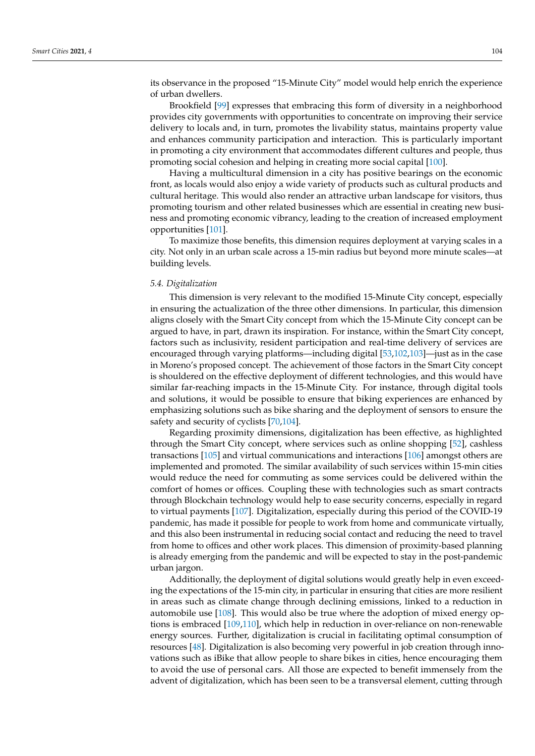its observance in the proposed "15-Minute City" model would help enrich the experience of urban dwellers.

Brookfield [\[99\]](#page-17-20) expresses that embracing this form of diversity in a neighborhood provides city governments with opportunities to concentrate on improving their service delivery to locals and, in turn, promotes the livability status, maintains property value and enhances community participation and interaction. This is particularly important in promoting a city environment that accommodates different cultures and people, thus promoting social cohesion and helping in creating more social capital [\[100\]](#page-17-21).

Having a multicultural dimension in a city has positive bearings on the economic front, as locals would also enjoy a wide variety of products such as cultural products and cultural heritage. This would also render an attractive urban landscape for visitors, thus promoting tourism and other related businesses which are essential in creating new business and promoting economic vibrancy, leading to the creation of increased employment opportunities [\[101\]](#page-17-22).

To maximize those benefits, this dimension requires deployment at varying scales in a city. Not only in an urban scale across a 15-min radius but beyond more minute scales—at building levels.

#### *5.4. Digitalization*

This dimension is very relevant to the modified 15-Minute City concept, especially in ensuring the actualization of the three other dimensions. In particular, this dimension aligns closely with the Smart City concept from which the 15-Minute City concept can be argued to have, in part, drawn its inspiration. For instance, within the Smart City concept, factors such as inclusivity, resident participation and real-time delivery of services are encouraged through varying platforms—including digital [\[53,](#page-16-1)[102](#page-17-23)[,103\]](#page-17-24)—just as in the case in Moreno's proposed concept. The achievement of those factors in the Smart City concept is shouldered on the effective deployment of different technologies, and this would have similar far-reaching impacts in the 15-Minute City. For instance, through digital tools and solutions, it would be possible to ensure that biking experiences are enhanced by emphasizing solutions such as bike sharing and the deployment of sensors to ensure the safety and security of cyclists [\[70,](#page-16-18)[104\]](#page-17-25).

Regarding proximity dimensions, digitalization has been effective, as highlighted through the Smart City concept, where services such as online shopping [\[52\]](#page-16-0), cashless transactions [\[105\]](#page-17-26) and virtual communications and interactions [\[106\]](#page-17-27) amongst others are implemented and promoted. The similar availability of such services within 15-min cities would reduce the need for commuting as some services could be delivered within the comfort of homes or offices. Coupling these with technologies such as smart contracts through Blockchain technology would help to ease security concerns, especially in regard to virtual payments [\[107\]](#page-17-28). Digitalization, especially during this period of the COVID-19 pandemic, has made it possible for people to work from home and communicate virtually, and this also been instrumental in reducing social contact and reducing the need to travel from home to offices and other work places. This dimension of proximity-based planning is already emerging from the pandemic and will be expected to stay in the post-pandemic urban jargon.

Additionally, the deployment of digital solutions would greatly help in even exceeding the expectations of the 15-min city, in particular in ensuring that cities are more resilient in areas such as climate change through declining emissions, linked to a reduction in automobile use [\[108\]](#page-17-29). This would also be true where the adoption of mixed energy options is embraced [\[109](#page-17-30)[,110\]](#page-17-31), which help in reduction in over-reliance on non-renewable energy sources. Further, digitalization is crucial in facilitating optimal consumption of resources [\[48\]](#page-15-21). Digitalization is also becoming very powerful in job creation through innovations such as iBike that allow people to share bikes in cities, hence encouraging them to avoid the use of personal cars. All those are expected to benefit immensely from the advent of digitalization, which has been seen to be a transversal element, cutting through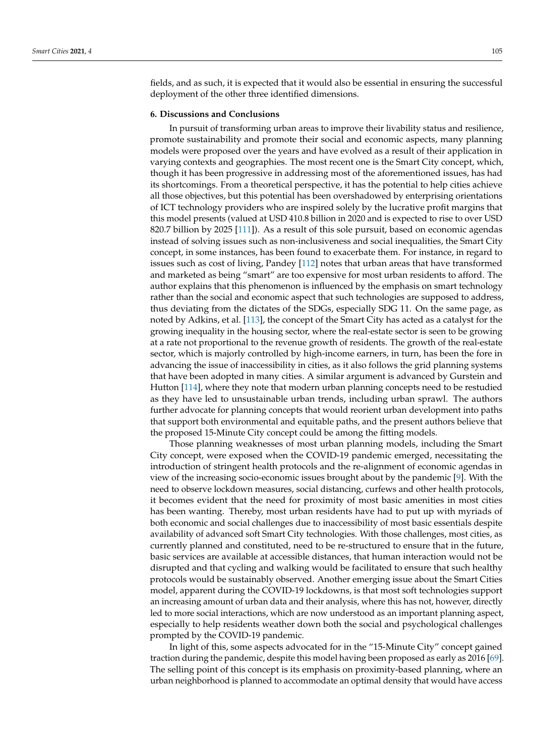fields, and as such, it is expected that it would also be essential in ensuring the successful deployment of the other three identified dimensions.

#### **6. Discussions and Conclusions**

In pursuit of transforming urban areas to improve their livability status and resilience, promote sustainability and promote their social and economic aspects, many planning models were proposed over the years and have evolved as a result of their application in varying contexts and geographies. The most recent one is the Smart City concept, which, though it has been progressive in addressing most of the aforementioned issues, has had its shortcomings. From a theoretical perspective, it has the potential to help cities achieve all those objectives, but this potential has been overshadowed by enterprising orientations of ICT technology providers who are inspired solely by the lucrative profit margins that this model presents (valued at USD 410.8 billion in 2020 and is expected to rise to over USD 820.7 billion by 2025 [\[111\]](#page-18-0)). As a result of this sole pursuit, based on economic agendas instead of solving issues such as non-inclusiveness and social inequalities, the Smart City concept, in some instances, has been found to exacerbate them. For instance, in regard to issues such as cost of living, Pandey [\[112\]](#page-18-1) notes that urban areas that have transformed and marketed as being "smart" are too expensive for most urban residents to afford. The author explains that this phenomenon is influenced by the emphasis on smart technology rather than the social and economic aspect that such technologies are supposed to address, thus deviating from the dictates of the SDGs, especially SDG 11. On the same page, as noted by Adkins, et al. [\[113\]](#page-18-2), the concept of the Smart City has acted as a catalyst for the growing inequality in the housing sector, where the real-estate sector is seen to be growing at a rate not proportional to the revenue growth of residents. The growth of the real-estate sector, which is majorly controlled by high-income earners, in turn, has been the fore in advancing the issue of inaccessibility in cities, as it also follows the grid planning systems that have been adopted in many cities. A similar argument is advanced by Gurstein and Hutton [\[114\]](#page-18-3), where they note that modern urban planning concepts need to be restudied as they have led to unsustainable urban trends, including urban sprawl. The authors further advocate for planning concepts that would reorient urban development into paths that support both environmental and equitable paths, and the present authors believe that the proposed 15-Minute City concept could be among the fitting models.

Those planning weaknesses of most urban planning models, including the Smart City concept, were exposed when the COVID-19 pandemic emerged, necessitating the introduction of stringent health protocols and the re-alignment of economic agendas in view of the increasing socio-economic issues brought about by the pandemic [\[9\]](#page-14-8). With the need to observe lockdown measures, social distancing, curfews and other health protocols, it becomes evident that the need for proximity of most basic amenities in most cities has been wanting. Thereby, most urban residents have had to put up with myriads of both economic and social challenges due to inaccessibility of most basic essentials despite availability of advanced soft Smart City technologies. With those challenges, most cities, as currently planned and constituted, need to be re-structured to ensure that in the future, basic services are available at accessible distances, that human interaction would not be disrupted and that cycling and walking would be facilitated to ensure that such healthy protocols would be sustainably observed. Another emerging issue about the Smart Cities model, apparent during the COVID-19 lockdowns, is that most soft technologies support an increasing amount of urban data and their analysis, where this has not, however, directly led to more social interactions, which are now understood as an important planning aspect, especially to help residents weather down both the social and psychological challenges prompted by the COVID-19 pandemic.

In light of this, some aspects advocated for in the "15-Minute City" concept gained traction during the pandemic, despite this model having been proposed as early as 2016 [\[69\]](#page-16-17). The selling point of this concept is its emphasis on proximity-based planning, where an urban neighborhood is planned to accommodate an optimal density that would have access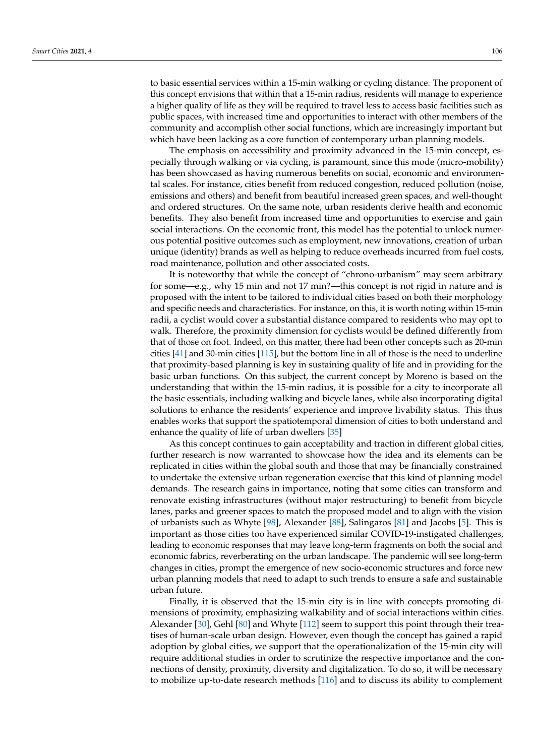to basic essential services within a 15-min walking or cycling distance. The proponent of this concept envisions that within that a 15-min radius, residents will manage to experience a higher quality of life as they will be required to travel less to access basic facilities such as public spaces, with increased time and opportunities to interact with other members of the community and accomplish other social functions, which are increasingly important but which have been lacking as a core function of contemporary urban planning models.

The emphasis on accessibility and proximity advanced in the 15-min concept, especially through walking or via cycling, is paramount, since this mode (micro-mobility) has been showcased as having numerous benefits on social, economic and environmental scales. For instance, cities benefit from reduced congestion, reduced pollution (noise, emissions and others) and benefit from beautiful increased green spaces, and well-thought and ordered structures. On the same note, urban residents derive health and economic benefits. They also benefit from increased time and opportunities to exercise and gain social interactions. On the economic front, this model has the potential to unlock numerous potential positive outcomes such as employment, new innovations, creation of urban unique (identity) brands as well as helping to reduce overheads incurred from fuel costs, road maintenance, pollution and other associated costs.

It is noteworthy that while the concept of "chrono-urbanism" may seem arbitrary for some—e.g., why 15 min and not 17 min?—this concept is not rigid in nature and is proposed with the intent to be tailored to individual cities based on both their morphology and specific needs and characteristics. For instance, on this, it is worth noting within 15-min radii, a cyclist would cover a substantial distance compared to residents who may opt to walk. Therefore, the proximity dimension for cyclists would be defined differently from that of those on foot. Indeed, on this matter, there had been other concepts such as 20-min cities [\[41\]](#page-15-17) and 30-min cities [\[115\]](#page-18-4), but the bottom line in all of those is the need to underline that proximity-based planning is key in sustaining quality of life and in providing for the basic urban functions. On this subject, the current concept by Moreno is based on the understanding that within the 15-min radius, it is possible for a city to incorporate all the basic essentials, including walking and bicycle lanes, while also incorporating digital solutions to enhance the residents' experience and improve livability status. This thus enables works that support the spatiotemporal dimension of cities to both understand and enhance the quality of life of urban dwellers [\[35\]](#page-15-11)

As this concept continues to gain acceptability and traction in different global cities, further research is now warranted to showcase how the idea and its elements can be replicated in cities within the global south and those that may be financially constrained to undertake the extensive urban regeneration exercise that this kind of planning model demands. The research gains in importance, noting that some cities can transform and renovate existing infrastructures (without major restructuring) to benefit from bicycle lanes, parks and greener spaces to match the proposed model and to align with the vision of urbanists such as Whyte [\[98\]](#page-17-19), Alexander [\[88\]](#page-17-9), Salingaros [\[81\]](#page-17-2) and Jacobs [\[5\]](#page-14-4). This is important as those cities too have experienced similar COVID-19-instigated challenges, leading to economic responses that may leave long-term fragments on both the social and economic fabrics, reverberating on the urban landscape. The pandemic will see long-term changes in cities, prompt the emergence of new socio-economic structures and force new urban planning models that need to adapt to such trends to ensure a safe and sustainable urban future.

Finally, it is observed that the 15-min city is in line with concepts promoting dimensions of proximity, emphasizing walkability and of social interactions within cities. Alexander [\[30\]](#page-15-6), Gehl [\[80\]](#page-17-1) and Whyte [\[112\]](#page-18-1) seem to support this point through their treatises of human-scale urban design. However, even though the concept has gained a rapid adoption by global cities, we support that the operationalization of the 15-min city will require additional studies in order to scrutinize the respective importance and the connections of density, proximity, diversity and digitalization. To do so, it will be necessary to mobilize up-to-date research methods [\[116\]](#page-18-5) and to discuss its ability to complement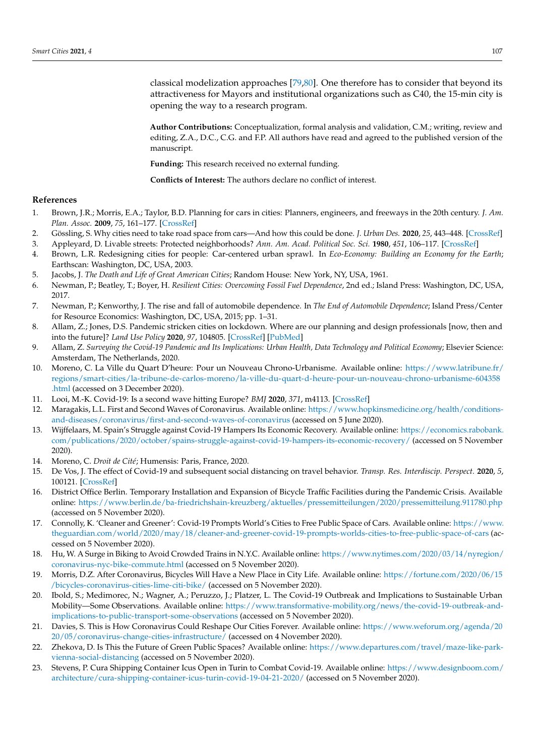classical modelization approaches [\[79](#page-17-0)[,80\]](#page-17-1). One therefore has to consider that beyond its attractiveness for Mayors and institutional organizations such as C40, the 15-min city is opening the way to a research program.

**Author Contributions:** Conceptualization, formal analysis and validation, C.M.; writing, review and editing, Z.A., D.C., C.G. and F.P. All authors have read and agreed to the published version of the manuscript.

**Funding:** This research received no external funding.

**Conflicts of Interest:** The authors declare no conflict of interest.

#### **References**

- <span id="page-14-0"></span>1. Brown, J.R.; Morris, E.A.; Taylor, B.D. Planning for cars in cities: Planners, engineers, and freeways in the 20th century. *J. Am. Plan. Assoc.* **2009**, *75*, 161–177. [\[CrossRef\]](http://doi.org/10.1080/01944360802640016)
- <span id="page-14-1"></span>2. Gössling, S. Why cities need to take road space from cars—And how this could be done. *J. Urban Des.* **2020**, *25*, 443–448. [\[CrossRef\]](http://doi.org/10.1080/13574809.2020.1727318)
- <span id="page-14-2"></span>3. Appleyard, D. Livable streets: Protected neighborhoods? *Ann. Am. Acad. Political Soc. Sci.* **1980**, *451*, 106–117. [\[CrossRef\]](http://doi.org/10.1177/000271628045100111)
- <span id="page-14-3"></span>4. Brown, L.R. Redesigning cities for people: Car-centered urban sprawl. In *Eco-Economy: Building an Economy for the Earth*; Earthscan: Washington, DC, USA, 2003.
- <span id="page-14-4"></span>5. Jacobs, J. *The Death and Life of Great American Cities*; Random House: New York, NY, USA, 1961.
- <span id="page-14-5"></span>6. Newman, P.; Beatley, T.; Boyer, H. *Resilient Cities: Overcoming Fossil Fuel Dependence*, 2nd ed.; Island Press: Washington, DC, USA, 2017.
- <span id="page-14-6"></span>7. Newman, P.; Kenworthy, J. The rise and fall of automobile dependence. In *The End of Automobile Dependence*; Island Press/Center for Resource Economics: Washington, DC, USA, 2015; pp. 1–31.
- <span id="page-14-7"></span>8. Allam, Z.; Jones, D.S. Pandemic stricken cities on lockdown. Where are our planning and design professionals [now, then and into the future]? *Land Use Policy* **2020**, *97*, 104805. [\[CrossRef\]](http://doi.org/10.1016/j.landusepol.2020.104805) [\[PubMed\]](http://www.ncbi.nlm.nih.gov/pubmed/32508374)
- <span id="page-14-8"></span>9. Allam, Z. *Surveying the Covid-19 Pandemic and Its Implications: Urban Health, Data Technology and Political Economy*; Elsevier Science: Amsterdam, The Netherlands, 2020.
- <span id="page-14-9"></span>10. Moreno, C. La Ville du Quart D'heure: Pour un Nouveau Chrono-Urbanisme. Available online: [https://www.latribune.fr/](https://www.latribune.fr/regions/smart-cities/la-tribune-de-carlos-moreno/la-ville-du-quart-d-heure-pour-un-nouveau-chrono-urbanisme-604358.html) [regions/smart-cities/la-tribune-de-carlos-moreno/la-ville-du-quart-d-heure-pour-un-nouveau-chrono-urbanisme-604358](https://www.latribune.fr/regions/smart-cities/la-tribune-de-carlos-moreno/la-ville-du-quart-d-heure-pour-un-nouveau-chrono-urbanisme-604358.html) [.html](https://www.latribune.fr/regions/smart-cities/la-tribune-de-carlos-moreno/la-ville-du-quart-d-heure-pour-un-nouveau-chrono-urbanisme-604358.html) (accessed on 3 December 2020).
- <span id="page-14-10"></span>11. Looi, M.-K. Covid-19: Is a second wave hitting Europe? *BMJ* **2020**, *371*, m4113. [\[CrossRef\]](http://doi.org/10.1136/bmj.m4113)
- <span id="page-14-11"></span>12. Maragakis, L.L. First and Second Waves of Coronavirus. Available online: [https://www.hopkinsmedicine.org/health/conditions](https://www.hopkinsmedicine.org/health/conditions-and-diseases/coronavirus/first-and-second-waves-of-coronavirus)[and-diseases/coronavirus/first-and-second-waves-of-coronavirus](https://www.hopkinsmedicine.org/health/conditions-and-diseases/coronavirus/first-and-second-waves-of-coronavirus) (accessed on 5 June 2020).
- <span id="page-14-12"></span>13. Wijffelaars, M. Spain's Struggle against Covid-19 Hampers Its Economic Recovery. Available online: [https://economics.rabobank.](https://economics.rabobank.com/publications/2020/october/spains-struggle-against-covid-19-hampers-its-economic-recovery/) [com/publications/2020/october/spains-struggle-against-covid-19-hampers-its-economic-recovery/](https://economics.rabobank.com/publications/2020/october/spains-struggle-against-covid-19-hampers-its-economic-recovery/) (accessed on 5 November 2020).
- <span id="page-14-13"></span>14. Moreno, C. *Droit de Cité*; Humensis: Paris, France, 2020.
- <span id="page-14-14"></span>15. De Vos, J. The effect of Covid-19 and subsequent social distancing on travel behavior. *Transp. Res. Interdiscip. Perspect.* **2020**, *5*, 100121. [\[CrossRef\]](http://doi.org/10.1016/j.trip.2020.100121)
- <span id="page-14-15"></span>16. District Office Berlin. Temporary Installation and Expansion of Bicycle Traffic Facilities during the Pandemic Crisis. Available online: <https://www.berlin.de/ba-friedrichshain-kreuzberg/aktuelles/pressemitteilungen/2020/pressemitteilung.911780.php> (accessed on 5 November 2020).
- <span id="page-14-16"></span>17. Connolly, K. 'Cleaner and Greener': Covid-19 Prompts World's Cities to Free Public Space of Cars. Available online: [https://www.](https://www.theguardian.com/world/2020/may/18/cleaner-and-greener-covid-19-prompts-worlds-cities-to-free-public-space-of-cars) [theguardian.com/world/2020/may/18/cleaner-and-greener-covid-19-prompts-worlds-cities-to-free-public-space-of-cars](https://www.theguardian.com/world/2020/may/18/cleaner-and-greener-covid-19-prompts-worlds-cities-to-free-public-space-of-cars) (accessed on 5 November 2020).
- <span id="page-14-17"></span>18. Hu, W. A Surge in Biking to Avoid Crowded Trains in N.Y.C. Available online: [https://www.nytimes.com/2020/03/14/nyregion/](https://www.nytimes.com/2020/03/14/nyregion/coronavirus-nyc-bike-commute.html) [coronavirus-nyc-bike-commute.html](https://www.nytimes.com/2020/03/14/nyregion/coronavirus-nyc-bike-commute.html) (accessed on 5 November 2020).
- <span id="page-14-18"></span>19. Morris, D.Z. After Coronavirus, Bicycles Will Have a New Place in City Life. Available online: [https://fortune.com/2020/06/15](https://fortune.com/2020/06/15/bicycles-coronavirus-cities-lime-citi-bike/) [/bicycles-coronavirus-cities-lime-citi-bike/](https://fortune.com/2020/06/15/bicycles-coronavirus-cities-lime-citi-bike/) (accessed on 5 November 2020).
- <span id="page-14-19"></span>20. Ibold, S.; Medimorec, N.; Wagner, A.; Peruzzo, J.; Platzer, L. The Covid-19 Outbreak and Implications to Sustainable Urban Mobility—Some Observations. Available online: [https://www.transformative-mobility.org/news/the-covid-19-outbreak-and](https://www.transformative-mobility.org/news/the-covid-19-outbreak-and-implications-to-public-transport-some-observations)[implications-to-public-transport-some-observations](https://www.transformative-mobility.org/news/the-covid-19-outbreak-and-implications-to-public-transport-some-observations) (accessed on 5 November 2020).
- <span id="page-14-20"></span>21. Davies, S. This is How Coronavirus Could Reshape Our Cities Forever. Available online: [https://www.weforum.org/agenda/20](https://www.weforum.org/agenda/2020/05/coronavirus-change-cities-infrastructure/) [20/05/coronavirus-change-cities-infrastructure/](https://www.weforum.org/agenda/2020/05/coronavirus-change-cities-infrastructure/) (accessed on 4 November 2020).
- <span id="page-14-21"></span>22. Zhekova, D. Is This the Future of Green Public Spaces? Available online: [https://www.departures.com/travel/maze-like-park](https://www.departures.com/travel/maze-like-park-vienna-social-distancing)[vienna-social-distancing](https://www.departures.com/travel/maze-like-park-vienna-social-distancing) (accessed on 5 November 2020).
- <span id="page-14-22"></span>23. Stevens, P. Cura Shipping Container Icus Open in Turin to Combat Covid-19. Available online: [https://www.designboom.com/](https://www.designboom.com/architecture/cura-shipping-container-icus-turin-covid-19-04-21-2020/) [architecture/cura-shipping-container-icus-turin-covid-19-04-21-2020/](https://www.designboom.com/architecture/cura-shipping-container-icus-turin-covid-19-04-21-2020/) (accessed on 5 November 2020).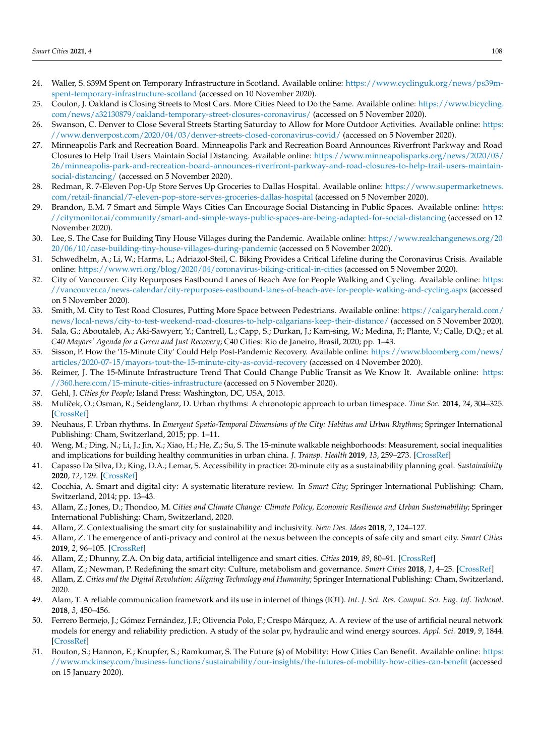- <span id="page-15-0"></span>24. Waller, S. \$39M Spent on Temporary Infrastructure in Scotland. Available online: [https://www.cyclinguk.org/news/ps39m](https://www.cyclinguk.org/news/ps39m-spent-temporary-infrastructure-scotland)[spent-temporary-infrastructure-scotland](https://www.cyclinguk.org/news/ps39m-spent-temporary-infrastructure-scotland) (accessed on 10 November 2020).
- <span id="page-15-1"></span>25. Coulon, J. Oakland is Closing Streets to Most Cars. More Cities Need to Do the Same. Available online: [https://www.bicycling.](https://www.bicycling.com/news/a32130879/oakland-temporary-street-closures-coronavirus/) [com/news/a32130879/oakland-temporary-street-closures-coronavirus/](https://www.bicycling.com/news/a32130879/oakland-temporary-street-closures-coronavirus/) (accessed on 5 November 2020).
- <span id="page-15-2"></span>26. Swanson, C. Denver to Close Several Streets Starting Saturday to Allow for More Outdoor Activities. Available online: [https:](https://www.denverpost.com/2020/04/03/denver-streets-closed-coronavirus-covid/) [//www.denverpost.com/2020/04/03/denver-streets-closed-coronavirus-covid/](https://www.denverpost.com/2020/04/03/denver-streets-closed-coronavirus-covid/) (accessed on 5 November 2020).
- <span id="page-15-3"></span>27. Minneapolis Park and Recreation Board. Minneapolis Park and Recreation Board Announces Riverfront Parkway and Road Closures to Help Trail Users Maintain Social Distancing. Available online: [https://www.minneapolisparks.org/news/2020/03/](https://www.minneapolisparks.org/news/2020/03/26/minneapolis-park-and-recreation-board-announces-riverfront-parkway-and-road-closures-to-help-trail-users-maintain-social-distancing/) [26/minneapolis-park-and-recreation-board-announces-riverfront-parkway-and-road-closures-to-help-trail-users-maintain](https://www.minneapolisparks.org/news/2020/03/26/minneapolis-park-and-recreation-board-announces-riverfront-parkway-and-road-closures-to-help-trail-users-maintain-social-distancing/)[social-distancing/](https://www.minneapolisparks.org/news/2020/03/26/minneapolis-park-and-recreation-board-announces-riverfront-parkway-and-road-closures-to-help-trail-users-maintain-social-distancing/) (accessed on 5 November 2020).
- <span id="page-15-4"></span>28. Redman, R. 7-Eleven Pop-Up Store Serves Up Groceries to Dallas Hospital. Available online: [https://www.supermarketnews.](https://www.supermarketnews.com/retail-financial/7-eleven-pop-store-serves-groceries-dallas-hospital) [com/retail-financial/7-eleven-pop-store-serves-groceries-dallas-hospital](https://www.supermarketnews.com/retail-financial/7-eleven-pop-store-serves-groceries-dallas-hospital) (accessed on 5 November 2020).
- <span id="page-15-5"></span>29. Brandon, E.M. 7 Smart and Simple Ways Cities Can Encourage Social Distancing in Public Spaces. Available online: [https:](https://citymonitor.ai/community/smart-and-simple-ways-public-spaces-are-being-adapted-for-social-distancing) [//citymonitor.ai/community/smart-and-simple-ways-public-spaces-are-being-adapted-for-social-distancing](https://citymonitor.ai/community/smart-and-simple-ways-public-spaces-are-being-adapted-for-social-distancing) (accessed on 12 November 2020).
- <span id="page-15-6"></span>30. Lee, S. The Case for Building Tiny House Villages during the Pandemic. Available online: [https://www.realchangenews.org/20](https://www.realchangenews.org/2020/06/10/case-building-tiny-house-villages-during-pandemic) [20/06/10/case-building-tiny-house-villages-during-pandemic](https://www.realchangenews.org/2020/06/10/case-building-tiny-house-villages-during-pandemic) (accessed on 5 November 2020).
- <span id="page-15-7"></span>31. Schwedhelm, A.; Li, W.; Harms, L.; Adriazol-Steil, C. Biking Provides a Critical Lifeline during the Coronavirus Crisis. Available online: <https://www.wri.org/blog/2020/04/coronavirus-biking-critical-in-cities> (accessed on 5 November 2020).
- <span id="page-15-8"></span>32. City of Vancouver. City Repurposes Eastbound Lanes of Beach Ave for People Walking and Cycling. Available online: [https:](https://vancouver.ca/news-calendar/city-repurposes-eastbound-lanes-of-beach-ave-for-people-walking-and-cycling.aspx) [//vancouver.ca/news-calendar/city-repurposes-eastbound-lanes-of-beach-ave-for-people-walking-and-cycling.aspx](https://vancouver.ca/news-calendar/city-repurposes-eastbound-lanes-of-beach-ave-for-people-walking-and-cycling.aspx) (accessed on 5 November 2020).
- <span id="page-15-9"></span>33. Smith, M. City to Test Road Closures, Putting More Space between Pedestrians. Available online: [https://calgaryherald.com/](https://calgaryherald.com/news/local-news/city-to-test-weekend-road-closures-to-help-calgarians-keep-their-distance/) [news/local-news/city-to-test-weekend-road-closures-to-help-calgarians-keep-their-distance/](https://calgaryherald.com/news/local-news/city-to-test-weekend-road-closures-to-help-calgarians-keep-their-distance/) (accessed on 5 November 2020).
- <span id="page-15-10"></span>34. Sala, G.; Aboutaleb, A.; Aki-Sawyerr, Y.; Cantrell, L.; Capp, S.; Durkan, J.; Kam-sing, W.; Medina, F.; Plante, V.; Calle, D.Q.; et al. *C40 Mayors' Agenda for a Green and Just Recovery*; C40 Cities: Rio de Janeiro, Brasil, 2020; pp. 1–43.
- <span id="page-15-11"></span>35. Sisson, P. How the '15-Minute City' Could Help Post-Pandemic Recovery. Available online: [https://www.bloomberg.com/news/](https://www.bloomberg.com/news/articles/2020-07-15/mayors-tout-the-15-minute-city-as-covid-recovery) [articles/2020-07-15/mayors-tout-the-15-minute-city-as-covid-recovery](https://www.bloomberg.com/news/articles/2020-07-15/mayors-tout-the-15-minute-city-as-covid-recovery) (accessed on 4 November 2020).
- <span id="page-15-12"></span>36. Reimer, J. The 15-Minute Infrastructure Trend That Could Change Public Transit as We Know It. Available online: [https:](https://360.here.com/15-minute-cities-infrastructure) [//360.here.com/15-minute-cities-infrastructure](https://360.here.com/15-minute-cities-infrastructure) (accessed on 5 November 2020).
- <span id="page-15-13"></span>37. Gehl, J. *Cities for People*; Island Press: Washington, DC, USA, 2013.
- <span id="page-15-14"></span>38. Mulíˇcek, O.; Osman, R.; Seidenglanz, D. Urban rhythms: A chronotopic approach to urban timespace. *Time Soc.* **2014**, *24*, 304–325. [\[CrossRef\]](http://doi.org/10.1177/0961463X14535905)
- <span id="page-15-15"></span>39. Neuhaus, F. Urban rhythms. In *Emergent Spatio-Temporal Dimensions of the City: Habitus and Urban Rhythms*; Springer International Publishing: Cham, Switzerland, 2015; pp. 1–11.
- <span id="page-15-16"></span>40. Weng, M.; Ding, N.; Li, J.; Jin, X.; Xiao, H.; He, Z.; Su, S. The 15-minute walkable neighborhoods: Measurement, social inequalities and implications for building healthy communities in urban china. *J. Transp. Health* **2019**, *13*, 259–273. [\[CrossRef\]](http://doi.org/10.1016/j.jth.2019.05.005)
- <span id="page-15-17"></span>41. Capasso Da Silva, D.; King, D.A.; Lemar, S. Accessibility in practice: 20-minute city as a sustainability planning goal. *Sustainability* **2020**, *12*, 129. [\[CrossRef\]](http://doi.org/10.3390/su12010129)
- <span id="page-15-18"></span>42. Cocchia, A. Smart and digital city: A systematic literature review. In *Smart City*; Springer International Publishing: Cham, Switzerland, 2014; pp. 13–43.
- <span id="page-15-19"></span>43. Allam, Z.; Jones, D.; Thondoo, M. *Cities and Climate Change: Climate Policy, Economic Resilience and Urban Sustainability*; Springer International Publishing: Cham, Switzerland, 2020.
- 44. Allam, Z. Contextualising the smart city for sustainability and inclusivity. *New Des. Ideas* **2018**, *2*, 124–127.
- 45. Allam, Z. The emergence of anti-privacy and control at the nexus between the concepts of safe city and smart city. *Smart Cities* **2019**, *2*, 96–105. [\[CrossRef\]](http://doi.org/10.3390/smartcities2010007)
- 46. Allam, Z.; Dhunny, Z.A. On big data, artificial intelligence and smart cities. *Cities* **2019**, *89*, 80–91. [\[CrossRef\]](http://doi.org/10.1016/j.cities.2019.01.032)
- <span id="page-15-20"></span>47. Allam, Z.; Newman, P. Redefining the smart city: Culture, metabolism and governance. *Smart Cities* **2018**, *1*, 4–25. [\[CrossRef\]](http://doi.org/10.3390/smartcities1010002)
- <span id="page-15-21"></span>48. Allam, Z. *Cities and the Digital Revolution: Aligning Technology and Humanity*; Springer International Publishing: Cham, Switzerland, 2020.
- <span id="page-15-22"></span>49. Alam, T. A reliable communication framework and its use in internet of things (IOT). *Int. J. Sci. Res. Comput. Sci. Eng. Inf. Techcnol.* **2018**, *3*, 450–456.
- <span id="page-15-23"></span>50. Ferrero Bermejo, J.; Gómez Fernández, J.F.; Olivencia Polo, F.; Crespo Márquez, A. A review of the use of artificial neural network models for energy and reliability prediction. A study of the solar pv, hydraulic and wind energy sources. *Appl. Sci.* **2019**, *9*, 1844. [\[CrossRef\]](http://doi.org/10.3390/app9091844)
- <span id="page-15-24"></span>51. Bouton, S.; Hannon, E.; Knupfer, S.; Ramkumar, S. The Future (s) of Mobility: How Cities Can Benefit. Available online: [https:](https://www.mckinsey.com/business-functions/sustainability/our-insights/the-futures-of-mobility-how-cities-can-benefit) [//www.mckinsey.com/business-functions/sustainability/our-insights/the-futures-of-mobility-how-cities-can-benefit](https://www.mckinsey.com/business-functions/sustainability/our-insights/the-futures-of-mobility-how-cities-can-benefit) (accessed on 15 January 2020).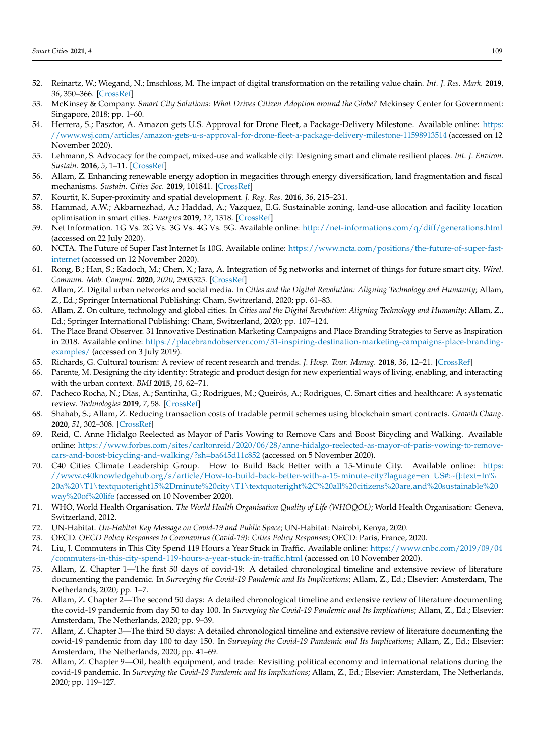- <span id="page-16-0"></span>52. Reinartz, W.; Wiegand, N.; Imschloss, M. The impact of digital transformation on the retailing value chain. *Int. J. Res. Mark.* **2019**, *36*, 350–366. [\[CrossRef\]](http://doi.org/10.1016/j.ijresmar.2018.12.002)
- <span id="page-16-1"></span>53. McKinsey & Company. *Smart City Solutions: What Drives Citizen Adoption around the Globe?* Mckinsey Center for Government: Singapore, 2018; pp. 1–60.
- <span id="page-16-2"></span>54. Herrera, S.; Pasztor, A. Amazon gets U.S. Approval for Drone Fleet, a Package-Delivery Milestone. Available online: [https:](https://www.wsj.com/articles/amazon-gets-u-s-approval-for-drone-fleet-a-package-delivery-milestone-11598913514) [//www.wsj.com/articles/amazon-gets-u-s-approval-for-drone-fleet-a-package-delivery-milestone-11598913514](https://www.wsj.com/articles/amazon-gets-u-s-approval-for-drone-fleet-a-package-delivery-milestone-11598913514) (accessed on 12 November 2020).
- <span id="page-16-3"></span>55. Lehmann, S. Advocacy for the compact, mixed-use and walkable city: Designing smart and climate resilient places. *Int. J. Environ. Sustain.* **2016**, *5*, 1–11. [\[CrossRef\]](http://doi.org/10.24102/ijes.v5i2.669)
- <span id="page-16-4"></span>56. Allam, Z. Enhancing renewable energy adoption in megacities through energy diversification, land fragmentation and fiscal mechanisms. *Sustain. Cities Soc.* **2019**, 101841. [\[CrossRef\]](http://doi.org/10.1016/j.scs.2019.101841)
- <span id="page-16-5"></span>57. Kourtit, K. Super-proximity and spatial development. *J. Reg. Res.* **2016**, *36*, 215–231.
- <span id="page-16-6"></span>58. Hammad, A.W.; Akbarnezhad, A.; Haddad, A.; Vazquez, E.G. Sustainable zoning, land-use allocation and facility location optimisation in smart cities. *Energies* **2019**, *12*, 1318. [\[CrossRef\]](http://doi.org/10.3390/en12071318)
- <span id="page-16-7"></span>59. Net Information. 1G Vs. 2G Vs. 3G Vs. 4G Vs. 5G. Available online: <http://net-informations.com/q/diff/generations.html> (accessed on 22 July 2020).
- <span id="page-16-8"></span>60. NCTA. The Future of Super Fast Internet Is 10G. Available online: [https://www.ncta.com/positions/the-future-of-super-fast](https://www.ncta.com/positions/the-future-of-super-fast-internet)[internet](https://www.ncta.com/positions/the-future-of-super-fast-internet) (accessed on 12 November 2020).
- <span id="page-16-9"></span>61. Rong, B.; Han, S.; Kadoch, M.; Chen, X.; Jara, A. Integration of 5g networks and internet of things for future smart city. *Wirel. Commun. Mob. Comput.* **2020**, *2020*, 2903525. [\[CrossRef\]](http://doi.org/10.1155/2020/2903525)
- <span id="page-16-10"></span>62. Allam, Z. Digital urban networks and social media. In *Cities and the Digital Revolution: Aligning Technology and Humanity*; Allam, Z., Ed.; Springer International Publishing: Cham, Switzerland, 2020; pp. 61–83.
- <span id="page-16-11"></span>63. Allam, Z. On culture, technology and global cities. In *Cities and the Digital Revolution: Aligning Technology and Humanity*; Allam, Z., Ed.; Springer International Publishing: Cham, Switzerland, 2020; pp. 107–124.
- <span id="page-16-12"></span>64. The Place Brand Observer. 31 Innovative Destination Marketing Campaigns and Place Branding Strategies to Serve as Inspiration in 2018. Available online: [https://placebrandobserver.com/31-inspiring-destination-marketing-campaigns-place-branding](https://placebrandobserver.com/31-inspiring-destination-marketing-campaigns-place-branding-examples/)[examples/](https://placebrandobserver.com/31-inspiring-destination-marketing-campaigns-place-branding-examples/) (accessed on 3 July 2019).
- <span id="page-16-13"></span>65. Richards, G. Cultural tourism: A review of recent research and trends. *J. Hosp. Tour. Manag.* **2018**, *36*, 12–21. [\[CrossRef\]](http://doi.org/10.1016/j.jhtm.2018.03.005)
- <span id="page-16-14"></span>66. Parente, M. Designing the city identity: Strategic and product design for new experiential ways of living, enabling, and interacting with the urban context. *BMI* **2015**, *10*, 62–71.
- <span id="page-16-15"></span>67. Pacheco Rocha, N.; Dias, A.; Santinha, G.; Rodrigues, M.; Queirós, A.; Rodrigues, C. Smart cities and healthcare: A systematic review. *Technologies* **2019**, *7*, 58. [\[CrossRef\]](http://doi.org/10.3390/technologies7030058)
- <span id="page-16-16"></span>68. Shahab, S.; Allam, Z. Reducing transaction costs of tradable permit schemes using blockchain smart contracts. *Growth Chang.* **2020**, *51*, 302–308. [\[CrossRef\]](http://doi.org/10.1111/grow.12342)
- <span id="page-16-17"></span>69. Reid, C. Anne Hidalgo Reelected as Mayor of Paris Vowing to Remove Cars and Boost Bicycling and Walking. Available online: [https://www.forbes.com/sites/carltonreid/2020/06/28/anne-hidalgo-reelected-as-mayor-of-paris-vowing-to-remove](https://www.forbes.com/sites/carltonreid/2020/06/28/anne-hidalgo-reelected-as-mayor-of-paris-vowing-to-remove-cars-and-boost-bicycling-and-walking/?sh=ba645d11c852)[cars-and-boost-bicycling-and-walking/?sh=ba645d11c852](https://www.forbes.com/sites/carltonreid/2020/06/28/anne-hidalgo-reelected-as-mayor-of-paris-vowing-to-remove-cars-and-boost-bicycling-and-walking/?sh=ba645d11c852) (accessed on 5 November 2020).
- <span id="page-16-18"></span>70. C40 Cities Climate Leadership Group. How to Build Back Better with a 15-Minute City. Available online: [https:](https://www.c40knowledgehub.org/s/article/How-to-build-back-better-with-a-15-minute-city?laguage=en_US#:~{}:text=In%20a%20\T1\textquoteright 15%2Dminute%20city\T1\textquoteright %2C%20all%20citizens%20are,and%20sustainable%20way%20of%20life) [//www.c40knowledgehub.org/s/article/How-to-build-back-better-with-a-15-minute-city?laguage=en\\_US#:~{}:text=In%](https://www.c40knowledgehub.org/s/article/How-to-build-back-better-with-a-15-minute-city?laguage=en_US#:~{}:text=In%20a%20\T1\textquoteright 15%2Dminute%20city\T1\textquoteright %2C%20all%20citizens%20are,and%20sustainable%20way%20of%20life) [20a%20\T1\textquoteright15%2Dminute%20city\T1\textquoteright%2C%20all%20citizens%20are,and%20sustainable%20](https://www.c40knowledgehub.org/s/article/How-to-build-back-better-with-a-15-minute-city?laguage=en_US#:~{}:text=In%20a%20\T1\textquoteright 15%2Dminute%20city\T1\textquoteright %2C%20all%20citizens%20are,and%20sustainable%20way%20of%20life) [way%20of%20life](https://www.c40knowledgehub.org/s/article/How-to-build-back-better-with-a-15-minute-city?laguage=en_US#:~{}:text=In%20a%20\T1\textquoteright 15%2Dminute%20city\T1\textquoteright %2C%20all%20citizens%20are,and%20sustainable%20way%20of%20life) (accessed on 10 November 2020).
- <span id="page-16-19"></span>71. WHO, World Health Organisation. *The World Health Organisation Quality of Life (WHOQOL)*; World Health Organisation: Geneva, Switzerland, 2012.
- <span id="page-16-20"></span>72. UN-Habitat. *Un-Habitat Key Message on Covid-19 and Public Space*; UN-Habitat: Nairobi, Kenya, 2020.
- <span id="page-16-21"></span>73. OECD. *OECD Policy Responses to Coronavirus (Covid-19): Cities Policy Responses*; OECD: Paris, France, 2020.
- <span id="page-16-22"></span>74. Liu, J. Commuters in This City Spend 119 Hours a Year Stuck in Traffic. Available online: [https://www.cnbc.com/2019/09/04](https://www.cnbc.com/2019/09/04/commuters-in-this-city-spend-119-hours-a-year-stuck-in-traffic.html) [/commuters-in-this-city-spend-119-hours-a-year-stuck-in-traffic.html](https://www.cnbc.com/2019/09/04/commuters-in-this-city-spend-119-hours-a-year-stuck-in-traffic.html) (accessed on 10 November 2020).
- <span id="page-16-23"></span>75. Allam, Z. Chapter 1—The first 50 days of covid-19: A detailed chronological timeline and extensive review of literature documenting the pandemic. In *Surveying the Covid-19 Pandemic and Its Implications*; Allam, Z., Ed.; Elsevier: Amsterdam, The Netherlands, 2020; pp. 1–7.
- 76. Allam, Z. Chapter 2—The second 50 days: A detailed chronological timeline and extensive review of literature documenting the covid-19 pandemic from day 50 to day 100. In *Surveying the Covid-19 Pandemic and Its Implications*; Allam, Z., Ed.; Elsevier: Amsterdam, The Netherlands, 2020; pp. 9–39.
- 77. Allam, Z. Chapter 3—The third 50 days: A detailed chronological timeline and extensive review of literature documenting the covid-19 pandemic from day 100 to day 150. In *Surveying the Covid-19 Pandemic and Its Implications*; Allam, Z., Ed.; Elsevier: Amsterdam, The Netherlands, 2020; pp. 41–69.
- <span id="page-16-24"></span>78. Allam, Z. Chapter 9—Oil, health equipment, and trade: Revisiting political economy and international relations during the covid-19 pandemic. In *Surveying the Covid-19 Pandemic and Its Implications*; Allam, Z., Ed.; Elsevier: Amsterdam, The Netherlands, 2020; pp. 119–127.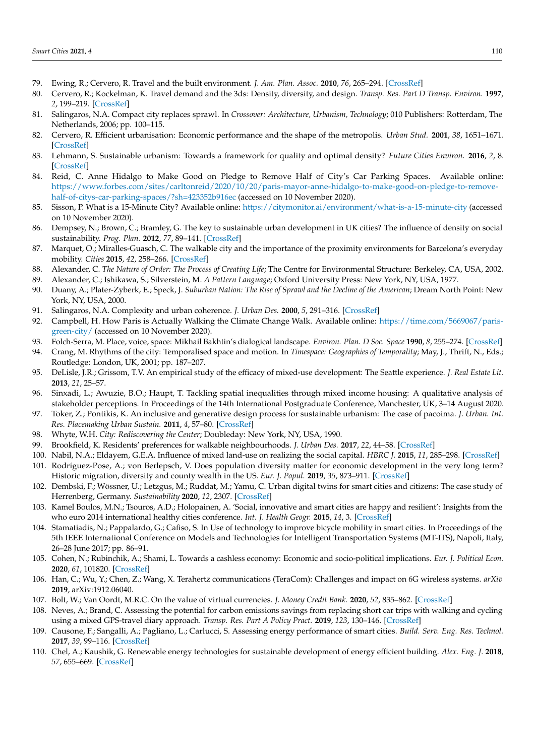- <span id="page-17-0"></span>79. Ewing, R.; Cervero, R. Travel and the built environment. *J. Am. Plan. Assoc.* **2010**, *76*, 265–294. [\[CrossRef\]](http://doi.org/10.1080/01944361003766766)
- <span id="page-17-1"></span>80. Cervero, R.; Kockelman, K. Travel demand and the 3ds: Density, diversity, and design. *Transp. Res. Part D Transp. Environ.* **1997**, *2*, 199–219. [\[CrossRef\]](http://doi.org/10.1016/S1361-9209(97)00009-6)
- <span id="page-17-2"></span>81. Salingaros, N.A. Compact city replaces sprawl. In *Crossover: Architecture, Urbanism, Technology*; 010 Publishers: Rotterdam, The Netherlands, 2006; pp. 100–115.
- <span id="page-17-3"></span>82. Cervero, R. Efficient urbanisation: Economic performance and the shape of the metropolis. *Urban Stud.* **2001**, *38*, 1651–1671. [\[CrossRef\]](http://doi.org/10.1080/00420980120084804)
- <span id="page-17-4"></span>83. Lehmann, S. Sustainable urbanism: Towards a framework for quality and optimal density? *Future Cities Environ.* **2016**, *2*, 8. [\[CrossRef\]](http://doi.org/10.1186/s40984-016-0021-3)
- <span id="page-17-5"></span>84. Reid, C. Anne Hidalgo to Make Good on Pledge to Remove Half of City's Car Parking Spaces. Available online: [https://www.forbes.com/sites/carltonreid/2020/10/20/paris-mayor-anne-hidalgo-to-make-good-on-pledge-to-remove](https://www.forbes.com/sites/carltonreid/2020/10/20/paris-mayor-anne-hidalgo-to-make-good-on-pledge-to-remove-half-of-citys-car-parking-spaces/?sh=423352b916ec)[half-of-citys-car-parking-spaces/?sh=423352b916ec](https://www.forbes.com/sites/carltonreid/2020/10/20/paris-mayor-anne-hidalgo-to-make-good-on-pledge-to-remove-half-of-citys-car-parking-spaces/?sh=423352b916ec) (accessed on 10 November 2020).
- <span id="page-17-6"></span>85. Sisson, P. What is a 15-Minute City? Available online: <https://citymonitor.ai/environment/what-is-a-15-minute-city> (accessed on 10 November 2020).
- <span id="page-17-7"></span>86. Dempsey, N.; Brown, C.; Bramley, G. The key to sustainable urban development in UK cities? The influence of density on social sustainability. *Prog. Plan.* **2012**, *77*, 89–141. [\[CrossRef\]](http://doi.org/10.1016/j.progress.2012.01.001)
- <span id="page-17-8"></span>87. Marquet, O.; Miralles-Guasch, C. The walkable city and the importance of the proximity environments for Barcelona's everyday mobility. *Cities* **2015**, *42*, 258–266. [\[CrossRef\]](http://doi.org/10.1016/j.cities.2014.10.012)
- <span id="page-17-9"></span>88. Alexander, C. *The Nature of Order: The Process of Creating Life*; The Centre for Environmental Structure: Berkeley, CA, USA, 2002.
- <span id="page-17-10"></span>89. Alexander, C.; Ishikawa, S.; Silverstein, M. *A Pattern Language*; Oxford University Press: New York, NY, USA, 1977.
- <span id="page-17-11"></span>90. Duany, A.; Plater-Zyberk, E.; Speck, J. *Suburban Nation: The Rise of Sprawl and the Decline of the American*; Dream North Point: New York, NY, USA, 2000.
- <span id="page-17-12"></span>91. Salingaros, N.A. Complexity and urban coherence. *J. Urban Des.* **2000**, *5*, 291–316. [\[CrossRef\]](http://doi.org/10.1080/713683969)
- <span id="page-17-13"></span>92. Campbell, H. How Paris is Actually Walking the Climate Change Walk. Available online: [https://time.com/5669067/paris](https://time.com/5669067/paris-green-city/)[green-city/](https://time.com/5669067/paris-green-city/) (accessed on 10 November 2020).
- <span id="page-17-14"></span>93. Folch-Serra, M. Place, voice, space: Mikhail Bakhtin's dialogical landscape. *Environ. Plan. D Soc. Space* **1990**, *8*, 255–274. [\[CrossRef\]](http://doi.org/10.1068/d080255)
- <span id="page-17-15"></span>94. Crang, M. Rhythms of the city: Temporalised space and motion. In *Timespace: Geographies of Temporality*; May, J., Thrift, N., Eds.; Routledge: London, UK, 2001; pp. 187–207.
- <span id="page-17-16"></span>95. DeLisle, J.R.; Grissom, T.V. An empirical study of the efficacy of mixed-use development: The Seattle experience. *J. Real Estate Lit.* **2013**, *21*, 25–57.
- <span id="page-17-17"></span>96. Sinxadi, L.; Awuzie, B.O.; Haupt, T. Tackling spatial inequalities through mixed income housing: A qualitative analysis of stakeholder perceptions. In Proceedings of the 14th International Postgraduate Conference, Manchester, UK, 3–14 August 2020.
- <span id="page-17-18"></span>97. Toker, Z.; Pontikis, K. An inclusive and generative design process for sustainable urbanism: The case of pacoima. *J. Urban. Int. Res. Placemaking Urban Sustain.* **2011**, *4*, 57–80. [\[CrossRef\]](http://doi.org/10.1080/17549175.2011.559956)
- <span id="page-17-19"></span>98. Whyte, W.H. *City: Rediscovering the Center*; Doubleday: New York, NY, USA, 1990.
- <span id="page-17-20"></span>99. Brookfield, K. Residents' preferences for walkable neighbourhoods. *J. Urban Des.* **2017**, *22*, 44–58. [\[CrossRef\]](http://doi.org/10.1080/13574809.2016.1234335)
- <span id="page-17-21"></span>100. Nabil, N.A.; Eldayem, G.E.A. Influence of mixed land-use on realizing the social capital. *HBRC J.* **2015**, *11*, 285–298. [\[CrossRef\]](http://doi.org/10.1016/j.hbrcj.2014.03.009)
- <span id="page-17-22"></span>101. Rodríguez-Pose, A.; von Berlepsch, V. Does population diversity matter for economic development in the very long term? Historic migration, diversity and county wealth in the US. *Eur. J. Popul.* **2019**, *35*, 873–911. [\[CrossRef\]](http://doi.org/10.1007/s10680-018-9507-z)
- <span id="page-17-23"></span>102. Dembski, F.; Wössner, U.; Letzgus, M.; Ruddat, M.; Yamu, C. Urban digital twins for smart cities and citizens: The case study of Herrenberg, Germany. *Sustainability* **2020**, *12*, 2307. [\[CrossRef\]](http://doi.org/10.3390/su12062307)
- <span id="page-17-24"></span>103. Kamel Boulos, M.N.; Tsouros, A.D.; Holopainen, A. 'Social, innovative and smart cities are happy and resilient': Insights from the who euro 2014 international healthy cities conference. *Int. J. Health Geogr.* **2015**, *14*, 3. [\[CrossRef\]](http://doi.org/10.1186/1476-072X-14-3)
- <span id="page-17-25"></span>104. Stamatiadis, N.; Pappalardo, G.; Cafiso, S. In Use of technology to improve bicycle mobility in smart cities. In Proceedings of the 5th IEEE International Conference on Models and Technologies for Intelligent Transportation Systems (MT-ITS), Napoli, Italy, 26–28 June 2017; pp. 86–91.
- <span id="page-17-26"></span>105. Cohen, N.; Rubinchik, A.; Shami, L. Towards a cashless economy: Economic and socio-political implications. *Eur. J. Political Econ.* **2020**, *61*, 101820. [\[CrossRef\]](http://doi.org/10.1016/j.ejpoleco.2019.101820)
- <span id="page-17-27"></span>106. Han, C.; Wu, Y.; Chen, Z.; Wang, X. Terahertz communications (TeraCom): Challenges and impact on 6G wireless systems. *arXiv* **2019**, arXiv:1912.06040.
- <span id="page-17-28"></span>107. Bolt, W.; Van Oordt, M.R.C. On the value of virtual currencies. *J. Money Credit Bank.* **2020**, *52*, 835–862. [\[CrossRef\]](http://doi.org/10.1111/jmcb.12619)
- <span id="page-17-29"></span>108. Neves, A.; Brand, C. Assessing the potential for carbon emissions savings from replacing short car trips with walking and cycling using a mixed GPS-travel diary approach. *Transp. Res. Part A Policy Pract.* **2019**, *123*, 130–146. [\[CrossRef\]](http://doi.org/10.1016/j.tra.2018.08.022)
- <span id="page-17-30"></span>109. Causone, F.; Sangalli, A.; Pagliano, L.; Carlucci, S. Assessing energy performance of smart cities. *Build. Serv. Eng. Res. Technol.* **2017**, *39*, 99–116. [\[CrossRef\]](http://doi.org/10.1177/0143624417725220)
- <span id="page-17-31"></span>110. Chel, A.; Kaushik, G. Renewable energy technologies for sustainable development of energy efficient building. *Alex. Eng. J.* **2018**, *57*, 655–669. [\[CrossRef\]](http://doi.org/10.1016/j.aej.2017.02.027)